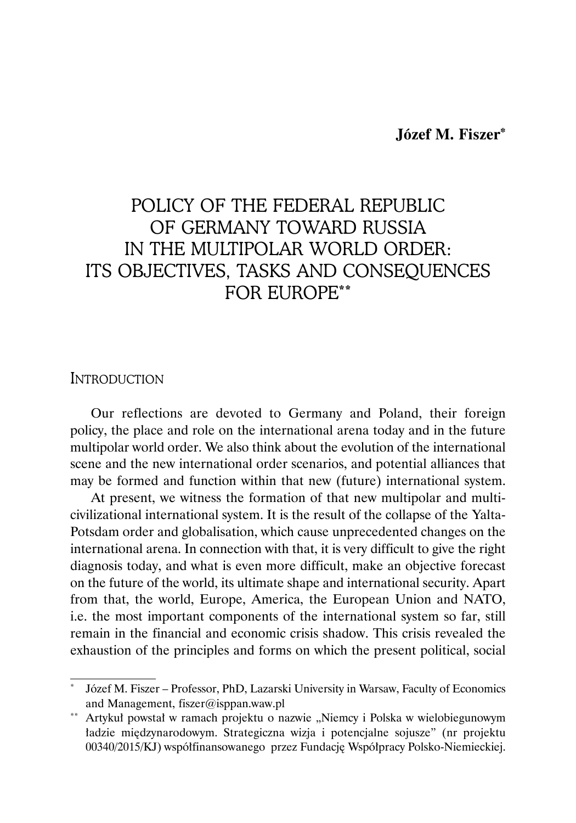# POLICY OF THE FEDERAL REPUBLIC OF GERMANY TOWARD RUSSIA IN THE MULTIPOLAR WORLD ORDER: ITS OBJECTIVES, TASKS AND CONSEQUENCES FOR EUROPE\*\*

### **INTRODUCTION**

Our reflections are devoted to Germany and Poland, their foreign policy, the place and role on the international arena today and in the future multipolar world order. We also think about the evolution of the international scene and the new international order scenarios, and potential alliances that may be formed and function within that new (future) international system.

At present, we witness the formation of that new multipolar and multicivilizational international system. It is the result of the collapse of the Yalta-Potsdam order and globalisation, which cause unprecedented changes on the international arena. In connection with that, it is very difficult to give the right diagnosis today, and what is even more difficult, make an objective forecast on the future of the world, its ultimate shape and international security. Apart from that, the world, Europe, America, the European Union and NATO, i.e. the most important components of the international system so far, still remain in the financial and economic crisis shadow. This crisis revealed the exhaustion of the principles and forms on which the present political, social

Józef M. Fiszer – Professor, PhD, Lazarski University in Warsaw, Faculty of Economics and Management, fiszer@isppan.waw.pl

<sup>\*\*</sup> Artykuł powstał w ramach projektu o nazwie "Niemcy i Polska w wielobiegunowym ładzie międzynarodowym. Strategiczna wizja i potencjalne sojusze" (nr projektu 00340/2015/KJ) współfinansowanego przez Fundację Współpracy Polsko-Niemieckiej.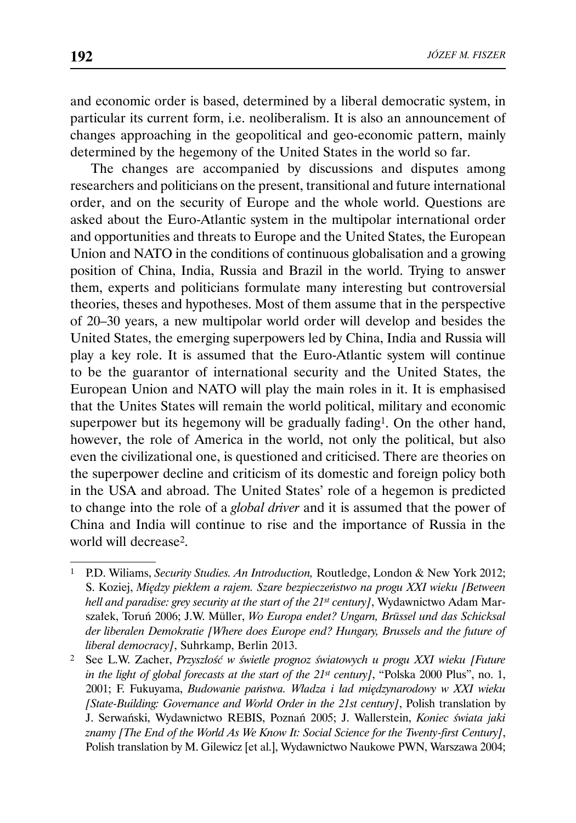and economic order is based, determined by a liberal democratic system, in particular its current form, i.e. neoliberalism. It is also an announcement of changes approaching in the geopolitical and geo-economic pattern, mainly determined by the hegemony of the United States in the world so far.

The changes are accompanied by discussions and disputes among researchers and politicians on the present, transitional and future international order, and on the security of Europe and the whole world. Questions are asked about the Euro-Atlantic system in the multipolar international order and opportunities and threats to Europe and the United States, the European Union and NATO in the conditions of continuous globalisation and a growing position of China, India, Russia and Brazil in the world. Trying to answer them, experts and politicians formulate many interesting but controversial theories, theses and hypotheses. Most of them assume that in the perspective of 20–30 years, a new multipolar world order will develop and besides the United States, the emerging superpowers led by China, India and Russia will play a key role. It is assumed that the Euro-Atlantic system will continue to be the guarantor of international security and the United States, the European Union and NATO will play the main roles in it. It is emphasised that the Unites States will remain the world political, military and economic superpower but its hegemony will be gradually fading<sup>1</sup>. On the other hand, however, the role of America in the world, not only the political, but also even the civilizational one, is questioned and criticised. There are theories on the superpower decline and criticism of its domestic and foreign policy both in the USA and abroad. The United States' role of a hegemon is predicted to change into the role of a *global driver* and it is assumed that the power of China and India will continue to rise and the importance of Russia in the world will decrease2.

<sup>1</sup> P.D. Wiliams, *Security Studies. An Introduction,* Routledge, London & New York 2012; S. Koziej, *Między piekłem a rajem. Szare bezpieczeństwo na progu XXI wieku [Between hell and paradise: grey security at the start of the 21st century]*, Wydawnictwo Adam Marszałek, Toruń 2006; J.W. Müller, *Wo Europa endet? Ungarn, Brüssel und das Schicksal der liberalen Demokratie [Where does Europe end? Hungary, Brussels and the future of liberal democracy]*, Suhrkamp, Berlin 2013.

<sup>2</sup> See L.W. Zacher, *Przyszłość w świetle prognoz światowych u progu XXI wieku [Future in the light of global forecasts at the start of the 21st century]*, "Polska 2000 Plus", no. 1, 2001; F. Fukuyama, *Budowanie państwa. Władza i ład międzynarodowy w XXI wieku [State-Building: Governance and World Order in the 21st century]*, Polish translation by J. Serwański, Wydawnictwo REBIS, Poznań 2005; J. Wallerstein, *Koniec świata jaki znamy [The End of the World As We Know It: Social Science for the Twenty-first Century]*, Polish translation by M. Gilewicz [et al.], Wydawnictwo Naukowe PWN, Warszawa 2004;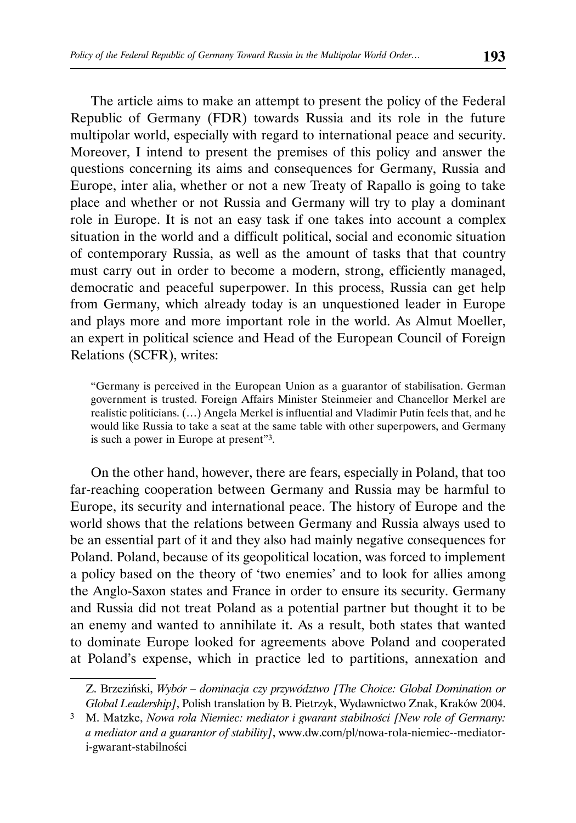The article aims to make an attempt to present the policy of the Federal Republic of Germany (FDR) towards Russia and its role in the future multipolar world, especially with regard to international peace and security. Moreover, I intend to present the premises of this policy and answer the questions concerning its aims and consequences for Germany, Russia and Europe, inter alia, whether or not a new Treaty of Rapallo is going to take place and whether or not Russia and Germany will try to play a dominant role in Europe. It is not an easy task if one takes into account a complex situation in the world and a difficult political, social and economic situation of contemporary Russia, as well as the amount of tasks that that country must carry out in order to become a modern, strong, efficiently managed, democratic and peaceful superpower. In this process, Russia can get help from Germany, which already today is an unquestioned leader in Europe and plays more and more important role in the world. As Almut Moeller, an expert in political science and Head of the European Council of Foreign Relations (SCFR), writes:

"Germany is perceived in the European Union as a guarantor of stabilisation. German government is trusted. Foreign Affairs Minister Steinmeier and Chancellor Merkel are realistic politicians. (…) Angela Merkel is influential and Vladimir Putin feels that, and he would like Russia to take a seat at the same table with other superpowers, and Germany is such a power in Europe at present"3.

On the other hand, however, there are fears, especially in Poland, that too far-reaching cooperation between Germany and Russia may be harmful to Europe, its security and international peace. The history of Europe and the world shows that the relations between Germany and Russia always used to be an essential part of it and they also had mainly negative consequences for Poland. Poland, because of its geopolitical location, was forced to implement a policy based on the theory of 'two enemies' and to look for allies among the Anglo-Saxon states and France in order to ensure its security. Germany and Russia did not treat Poland as a potential partner but thought it to be an enemy and wanted to annihilate it. As a result, both states that wanted to dominate Europe looked for agreements above Poland and cooperated at Poland's expense, which in practice led to partitions, annexation and

Z. Brzeziński, *Wybór – dominacja czy przywództwo [The Choice: Global Domination or Global Leadership]*, Polish translation by B. Pietrzyk, Wydawnictwo Znak, Kraków 2004.

<sup>3</sup> M. Matzke, *Nowa rola Niemiec: mediator i gwarant stabilności [New role of Germany: a mediator and a guarantor of stability]*, www.dw.com/pl/nowa-rola-niemiec--mediatori-gwarant-stabilności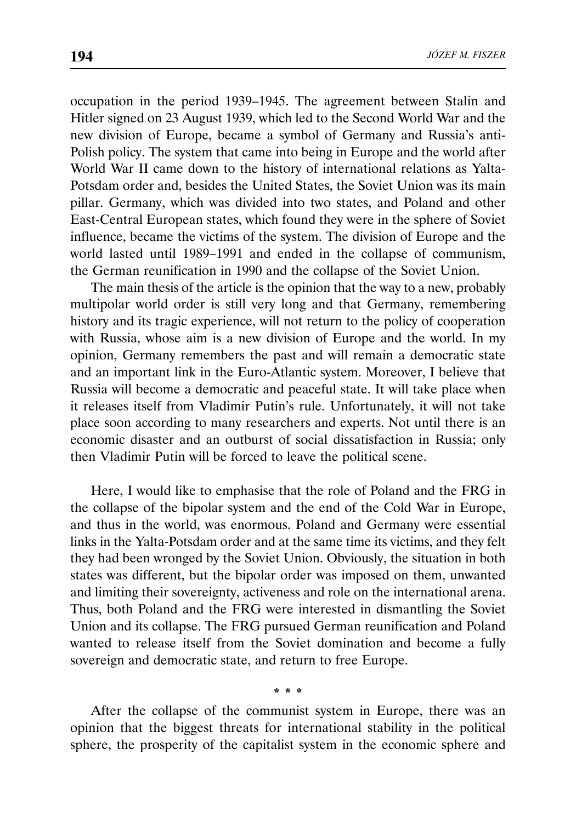occupation in the period 1939–1945. The agreement between Stalin and Hitler signed on 23 August 1939, which led to the Second World War and the new division of Europe, became a symbol of Germany and Russia's anti-Polish policy. The system that came into being in Europe and the world after World War II came down to the history of international relations as Yalta-Potsdam order and, besides the United States, the Soviet Union was its main pillar. Germany, which was divided into two states, and Poland and other East-Central European states, which found they were in the sphere of Soviet influence, became the victims of the system. The division of Europe and the world lasted until 1989–1991 and ended in the collapse of communism, the German reunification in 1990 and the collapse of the Soviet Union.

The main thesis of the article is the opinion that the way to a new, probably multipolar world order is still very long and that Germany, remembering history and its tragic experience, will not return to the policy of cooperation with Russia, whose aim is a new division of Europe and the world. In my opinion, Germany remembers the past and will remain a democratic state and an important link in the Euro-Atlantic system. Moreover, I believe that Russia will become a democratic and peaceful state. It will take place when it releases itself from Vladimir Putin's rule. Unfortunately, it will not take place soon according to many researchers and experts. Not until there is an economic disaster and an outburst of social dissatisfaction in Russia; only then Vladimir Putin will be forced to leave the political scene.

Here, I would like to emphasise that the role of Poland and the FRG in the collapse of the bipolar system and the end of the Cold War in Europe, and thus in the world, was enormous. Poland and Germany were essential links in the Yalta-Potsdam order and at the same time its victims, and they felt they had been wronged by the Soviet Union. Obviously, the situation in both states was different, but the bipolar order was imposed on them, unwanted and limiting their sovereignty, activeness and role on the international arena. Thus, both Poland and the FRG were interested in dismantling the Soviet Union and its collapse. The FRG pursued German reunification and Poland wanted to release itself from the Soviet domination and become a fully sovereign and democratic state, and return to free Europe.

\* \* \*

After the collapse of the communist system in Europe, there was an opinion that the biggest threats for international stability in the political sphere, the prosperity of the capitalist system in the economic sphere and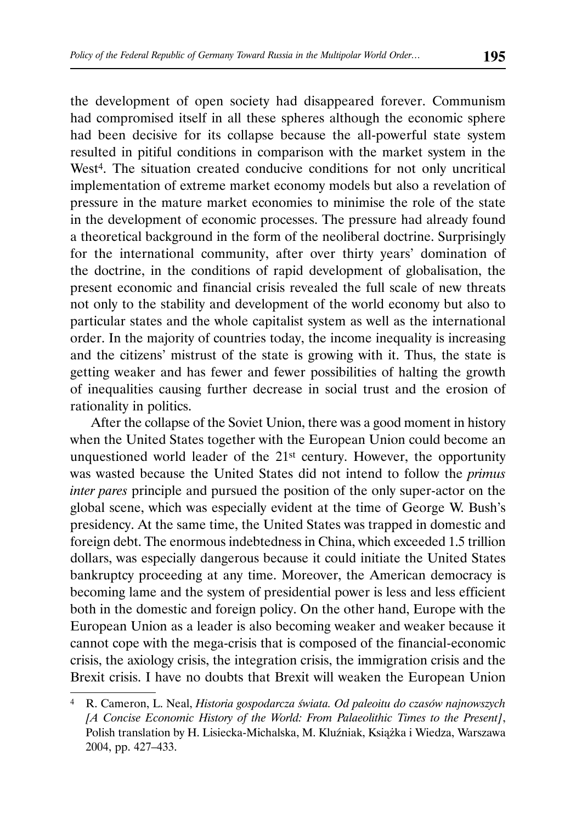the development of open society had disappeared forever. Communism had compromised itself in all these spheres although the economic sphere had been decisive for its collapse because the all-powerful state system resulted in pitiful conditions in comparison with the market system in the West<sup>4</sup>. The situation created conducive conditions for not only uncritical implementation of extreme market economy models but also a revelation of pressure in the mature market economies to minimise the role of the state in the development of economic processes. The pressure had already found a theoretical background in the form of the neoliberal doctrine. Surprisingly for the international community, after over thirty years' domination of the doctrine, in the conditions of rapid development of globalisation, the present economic and financial crisis revealed the full scale of new threats not only to the stability and development of the world economy but also to particular states and the whole capitalist system as well as the international order. In the majority of countries today, the income inequality is increasing and the citizens' mistrust of the state is growing with it. Thus, the state is getting weaker and has fewer and fewer possibilities of halting the growth of inequalities causing further decrease in social trust and the erosion of rationality in politics.

After the collapse of the Soviet Union, there was a good moment in history when the United States together with the European Union could become an unquestioned world leader of the 21st century. However, the opportunity was wasted because the United States did not intend to follow the *primus inter pares* principle and pursued the position of the only super-actor on the global scene, which was especially evident at the time of George W. Bush's presidency. At the same time, the United States was trapped in domestic and foreign debt. The enormous indebtedness in China, which exceeded 1.5 trillion dollars, was especially dangerous because it could initiate the United States bankruptcy proceeding at any time. Moreover, the American democracy is becoming lame and the system of presidential power is less and less efficient both in the domestic and foreign policy. On the other hand, Europe with the European Union as a leader is also becoming weaker and weaker because it cannot cope with the mega-crisis that is composed of the financial-economic crisis, the axiology crisis, the integration crisis, the immigration crisis and the Brexit crisis. I have no doubts that Brexit will weaken the European Union

<sup>4</sup> R. Cameron, L. Neal, *Historia gospodarcza świata. Od paleoitu do czasów najnowszych [A Concise Economic History of the World: From Palaeolithic Times to the Present]*, Polish translation by H. Lisiecka-Michalska, M. Kluźniak, Książka i Wiedza, Warszawa 2004, pp. 427–433.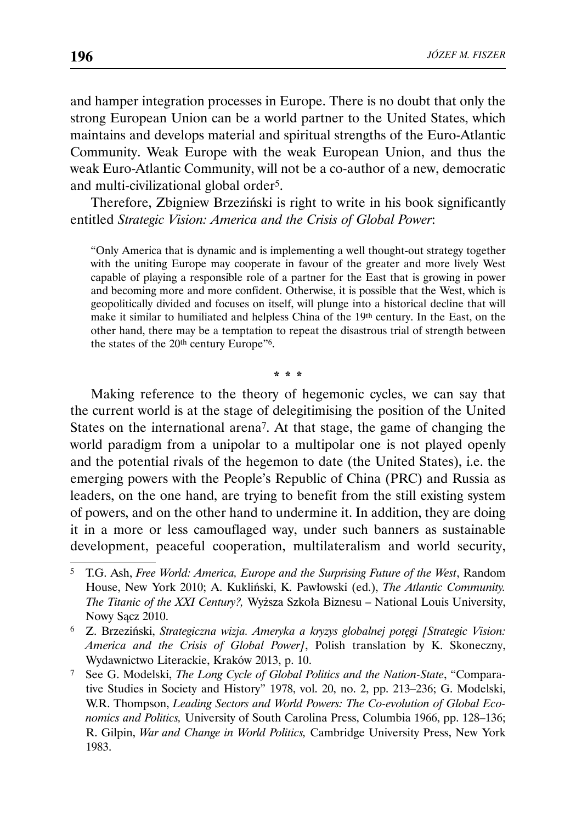and hamper integration processes in Europe. There is no doubt that only the strong European Union can be a world partner to the United States, which maintains and develops material and spiritual strengths of the Euro-Atlantic Community. Weak Europe with the weak European Union, and thus the weak Euro-Atlantic Community, will not be a co-author of a new, democratic and multi-civilizational global order5.

Therefore, Zbigniew Brzeziński is right to write in his book significantly entitled *Strategic Vision: America and the Crisis of Global Power*:

"Only America that is dynamic and is implementing a well thought-out strategy together with the uniting Europe may cooperate in favour of the greater and more lively West capable of playing a responsible role of a partner for the East that is growing in power and becoming more and more confident. Otherwise, it is possible that the West, which is geopolitically divided and focuses on itself, will plunge into a historical decline that will make it similar to humiliated and helpless China of the 19th century. In the East, on the other hand, there may be a temptation to repeat the disastrous trial of strength between the states of the 20<sup>th</sup> century Europe"<sup>6</sup>.

\* \* \*

Making reference to the theory of hegemonic cycles, we can say that the current world is at the stage of delegitimising the position of the United States on the international arena7. At that stage, the game of changing the world paradigm from a unipolar to a multipolar one is not played openly and the potential rivals of the hegemon to date (the United States), i.e. the emerging powers with the People's Republic of China (PRC) and Russia as leaders, on the one hand, are trying to benefit from the still existing system of powers, and on the other hand to undermine it. In addition, they are doing it in a more or less camouflaged way, under such banners as sustainable development, peaceful cooperation, multilateralism and world security,

<sup>5</sup> T.G. Ash, *Free World: America, Europe and the Surprising Future of the West*, Random House, New York 2010; A. Kukliński, K. Pawłowski (ed.), *The Atlantic Community. The Titanic of the XXI Century?,* Wyższa Szkoła Biznesu – National Louis University, Nowy Sącz 2010.

<sup>6</sup> Z. Brzeziński, *Strategiczna wizja. Ameryka a kryzys globalnej potęgi [Strategic Vision: America and the Crisis of Global Power]*, Polish translation by K. Skoneczny, Wydawnictwo Literackie, Kraków 2013, p. 10.

<sup>7</sup> See G. Modelski, *The Long Cycle of Global Politics and the Nation-State*, "Comparative Studies in Society and History" 1978, vol. 20, no. 2, pp. 213–236; G. Modelski, W.R. Thompson, *Leading Sectors and World Powers: The Co-evolution of Global Economics and Politics,* University of South Carolina Press, Columbia 1966, pp. 128–136; R. Gilpin, *War and Change in World Politics,* Cambridge University Press, New York 1983.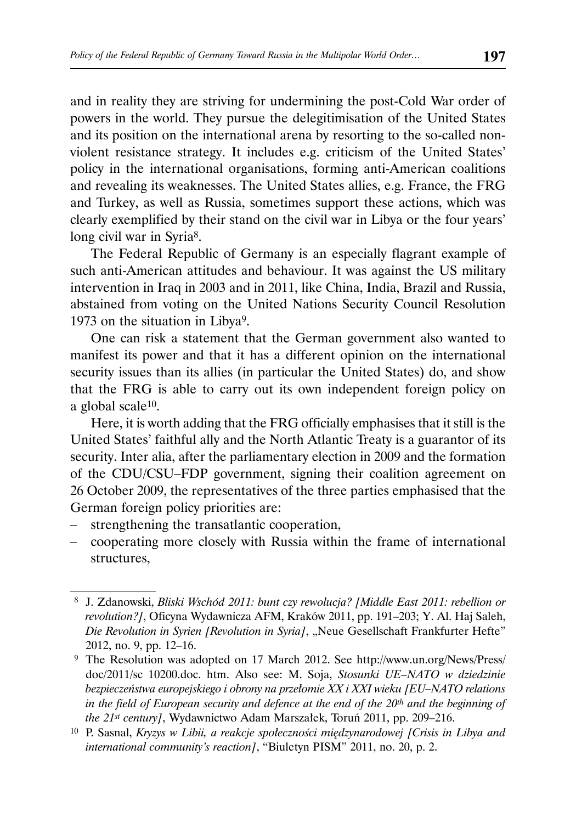and in reality they are striving for undermining the post-Cold War order of powers in the world. They pursue the delegitimisation of the United States and its position on the international arena by resorting to the so-called nonviolent resistance strategy. It includes e.g. criticism of the United States' policy in the international organisations, forming anti-American coalitions and revealing its weaknesses. The United States allies, e.g. France, the FRG and Turkey, as well as Russia, sometimes support these actions, which was clearly exemplified by their stand on the civil war in Libya or the four years' long civil war in Syria8.

The Federal Republic of Germany is an especially flagrant example of such anti-American attitudes and behaviour. It was against the US military intervention in Iraq in 2003 and in 2011, like China, India, Brazil and Russia, abstained from voting on the United Nations Security Council Resolution 1973 on the situation in Libya9.

One can risk a statement that the German government also wanted to manifest its power and that it has a different opinion on the international security issues than its allies (in particular the United States) do, and show that the FRG is able to carry out its own independent foreign policy on a global scale10.

Here, it is worth adding that the FRG officially emphasises that it still is the United States' faithful ally and the North Atlantic Treaty is a guarantor of its security. Inter alia, after the parliamentary election in 2009 and the formation of the CDU/CSU–FDP government, signing their coalition agreement on 26 October 2009, the representatives of the three parties emphasised that the German foreign policy priorities are:

- strengthening the transatlantic cooperation,
- cooperating more closely with Russia within the frame of international structures,

 <sup>8</sup> J. Zdanowski, *Bliski Wschód 2011: bunt czy rewolucja? [Middle East 2011: rebellion or revolution?]*, Oficyna Wydawnicza AFM, Kraków 2011, pp. 191–203; Y. Al. Haj Saleh, *Die Revolution in Syrien [Revolution in Syria]*, "Neue Gesellschaft Frankfurter Hefte" 2012, no. 9, pp. 12–16.

 <sup>9</sup> The Resolution was adopted on 17 March 2012. See http://www.un.org/News/Press/ doc/2011/sc 10200.doc. htm. Also see: M. Soja, *Stosunki UE–NATO w dziedzinie bezpieczeństwa europejskiego i obrony na przełomie XX i XXI wieku [EU–NATO relations in the field of European security and defence at the end of the 20th and the beginning of the 21st century]*, Wydawnictwo Adam Marszałek, Toruń 2011, pp. 209–216.

<sup>10</sup> P. Sasnal, *Kryzys w Libii, a reakcje społeczności międzynarodowej [Crisis in Libya and international community's reaction]*, "Biuletyn PISM" 2011, no. 20, p. 2.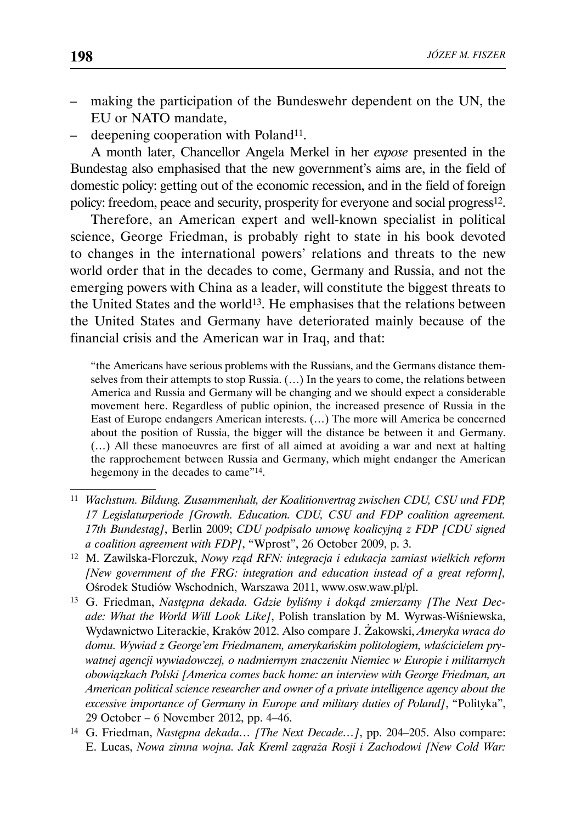- making the participation of the Bundeswehr dependent on the UN, the EU or NATO mandate,
- deepening cooperation with Poland<sup>11</sup>.

A month later, Chancellor Angela Merkel in her *expose* presented in the Bundestag also emphasised that the new government's aims are, in the field of domestic policy: getting out of the economic recession, and in the field of foreign policy: freedom, peace and security, prosperity for everyone and social progress<sup>12</sup>.

Therefore, an American expert and well-known specialist in political science, George Friedman, is probably right to state in his book devoted to changes in the international powers' relations and threats to the new world order that in the decades to come, Germany and Russia, and not the emerging powers with China as a leader, will constitute the biggest threats to the United States and the world<sup>13</sup>. He emphasises that the relations between the United States and Germany have deteriorated mainly because of the financial crisis and the American war in Iraq, and that:

"the Americans have serious problems with the Russians, and the Germans distance themselves from their attempts to stop Russia. (…) In the years to come, the relations between America and Russia and Germany will be changing and we should expect a considerable movement here. Regardless of public opinion, the increased presence of Russia in the East of Europe endangers American interests. (…) The more will America be concerned about the position of Russia, the bigger will the distance be between it and Germany. (…) All these manoeuvres are first of all aimed at avoiding a war and next at halting the rapprochement between Russia and Germany, which might endanger the American hegemony in the decades to came"14.

- <sup>11</sup> *Wachstum. Bildung. Zusammenhalt, der Koalitionvertrag zwischen CDU, CSU und FDP, 17 Legislaturperiode [Growth. Education. CDU, CSU and FDP coalition agreement. 17th Bundestag]*, Berlin 2009; *CDU podpisało umowę koalicyjną z FDP [CDU signed a coalition agreement with FDP]*, "Wprost", 26 October 2009, p. 3.
- 12 M. Zawilska-Florczuk, *Nowy rząd RFN: integracja i edukacja zamiast wielkich reform [New government of the FRG: integration and education instead of a great reform],*  Ośrodek Studiów Wschodnich, Warszawa 2011, www.osw.waw.pl/pl.
- 13 G. Friedman, *Następna dekada. Gdzie byliśmy i dokąd zmierzamy [The Next Decade: What the World Will Look Like]*, Polish translation by M. Wyrwas-Wiśniewska, Wydawnictwo Literackie, Kraków 2012. Also compare J. Żakowski, *Ameryka wraca do domu. Wywiad z George'em Friedmanem, amerykańskim politologiem, właścicielem prywatnej agencji wywiadowczej, o nadmiernym znaczeniu Niemiec w Europie i militarnych obowiązkach Polski [America comes back home: an interview with George Friedman, an American political science researcher and owner of a private intelligence agency about the excessive importance of Germany in Europe and military duties of Poland]*, "Polityka", 29 October – 6 November 2012, pp. 4–46.
- 14 G. Friedman, *Następna dekada… [The Next Decade…]*, pp. 204–205. Also compare: E. Lucas, *Nowa zimna wojna. Jak Kreml zagraża Rosji i Zachodowi [New Cold War:*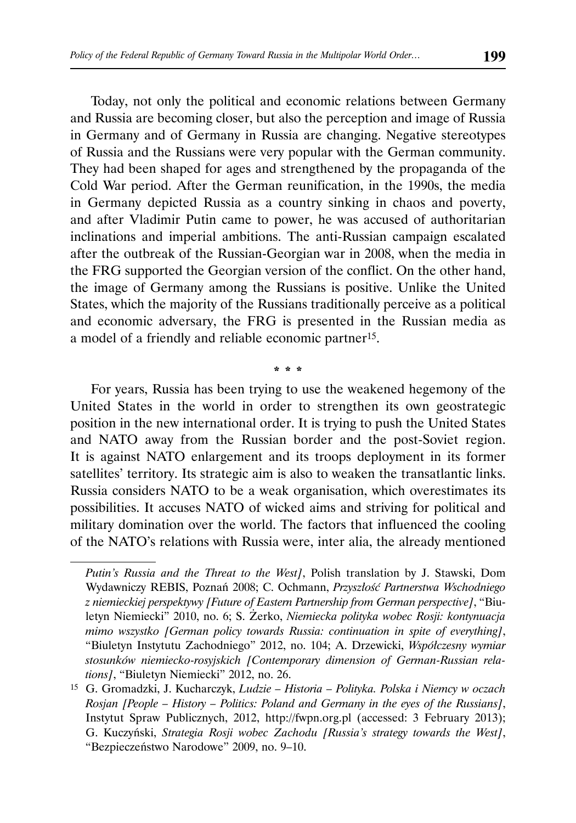Today, not only the political and economic relations between Germany and Russia are becoming closer, but also the perception and image of Russia in Germany and of Germany in Russia are changing. Negative stereotypes of Russia and the Russians were very popular with the German community. They had been shaped for ages and strengthened by the propaganda of the Cold War period. After the German reunification, in the 1990s, the media in Germany depicted Russia as a country sinking in chaos and poverty, and after Vladimir Putin came to power, he was accused of authoritarian inclinations and imperial ambitions. The anti-Russian campaign escalated after the outbreak of the Russian-Georgian war in 2008, when the media in the FRG supported the Georgian version of the conflict. On the other hand, the image of Germany among the Russians is positive. Unlike the United States, which the majority of the Russians traditionally perceive as a political and economic adversary, the FRG is presented in the Russian media as a model of a friendly and reliable economic partner15.

For years, Russia has been trying to use the weakened hegemony of the United States in the world in order to strengthen its own geostrategic position in the new international order. It is trying to push the United States and NATO away from the Russian border and the post-Soviet region. It is against NATO enlargement and its troops deployment in its former satellites' territory. Its strategic aim is also to weaken the transatlantic links. Russia considers NATO to be a weak organisation, which overestimates its possibilities. It accuses NATO of wicked aims and striving for political and military domination over the world. The factors that influenced the cooling of the NATO's relations with Russia were, inter alia, the already mentioned

\* \* \*

*Putin's Russia and the Threat to the West]*, Polish translation by J. Stawski, Dom Wydawniczy REBIS, Poznań 2008; C. Ochmann, *Przyszłość Partnerstwa Wschodniego z niemieckiej perspektywy [Future of Eastern Partnership from German perspective]*, "Biuletyn Niemiecki" 2010, no. 6; S. Żerko, *Niemiecka polityka wobec Rosji: kontynuacja mimo wszystko [German policy towards Russia: continuation in spite of everything]*, "Biuletyn Instytutu Zachodniego" 2012, no. 104; A. Drzewicki, *Współczesny wymiar stosunków niemiecko-rosyjskich [Contemporary dimension of German-Russian relations]*, "Biuletyn Niemiecki" 2012, no. 26.

<sup>15</sup> G. Gromadzki, J. Kucharczyk, *Ludzie – Historia – Polityka. Polska i Niemcy w oczach Rosjan [People – History – Politics: Poland and Germany in the eyes of the Russians]*, Instytut Spraw Publicznych, 2012, http://fwpn.org.pl (accessed: 3 February 2013); G. Kuczyński, *Strategia Rosji wobec Zachodu [Russia's strategy towards the West]*, "Bezpieczeństwo Narodowe" 2009, no. 9–10.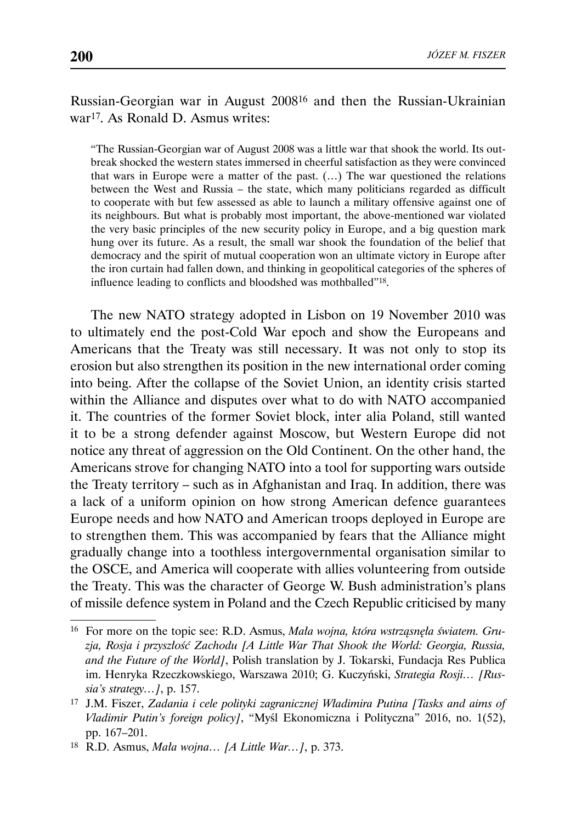Russian-Georgian war in August 200816 and then the Russian-Ukrainian war17. As Ronald D. Asmus writes:

"The Russian-Georgian war of August 2008 was a little war that shook the world. Its outbreak shocked the western states immersed in cheerful satisfaction as they were convinced that wars in Europe were a matter of the past. (…) The war questioned the relations between the West and Russia – the state, which many politicians regarded as difficult to cooperate with but few assessed as able to launch a military offensive against one of its neighbours. But what is probably most important, the above-mentioned war violated the very basic principles of the new security policy in Europe, and a big question mark hung over its future. As a result, the small war shook the foundation of the belief that democracy and the spirit of mutual cooperation won an ultimate victory in Europe after the iron curtain had fallen down, and thinking in geopolitical categories of the spheres of influence leading to conflicts and bloodshed was mothballed"18.

The new NATO strategy adopted in Lisbon on 19 November 2010 was to ultimately end the post-Cold War epoch and show the Europeans and Americans that the Treaty was still necessary. It was not only to stop its erosion but also strengthen its position in the new international order coming into being. After the collapse of the Soviet Union, an identity crisis started within the Alliance and disputes over what to do with NATO accompanied it. The countries of the former Soviet block, inter alia Poland, still wanted it to be a strong defender against Moscow, but Western Europe did not notice any threat of aggression on the Old Continent. On the other hand, the Americans strove for changing NATO into a tool for supporting wars outside the Treaty territory – such as in Afghanistan and Iraq. In addition, there was a lack of a uniform opinion on how strong American defence guarantees Europe needs and how NATO and American troops deployed in Europe are to strengthen them. This was accompanied by fears that the Alliance might gradually change into a toothless intergovernmental organisation similar to the OSCE, and America will cooperate with allies volunteering from outside the Treaty. This was the character of George W. Bush administration's plans of missile defence system in Poland and the Czech Republic criticised by many

<sup>16</sup> For more on the topic see: R.D. Asmus, *Mała wojna, która wstrząsnęła światem. Gruzja, Rosja i przyszłość Zachodu [A Little War That Shook the World: Georgia, Russia, and the Future of the World]*, Polish translation by J. Tokarski, Fundacja Res Publica im. Henryka Rzeczkowskiego, Warszawa 2010; G. Kuczyński, *Strategia Rosji… [Russia's strategy…]*, p. 157.

<sup>17</sup> J.M. Fiszer, *Zadania i cele polityki zagranicznej Władimira Putina [Tasks and aims of Vladimir Putin's foreign policy]*, "Myśl Ekonomiczna i Polityczna" 2016, no. 1(52), pp. 167–201.

<sup>18</sup> R.D. Asmus, *Mała wojna… [A Little War…]*, p. 373.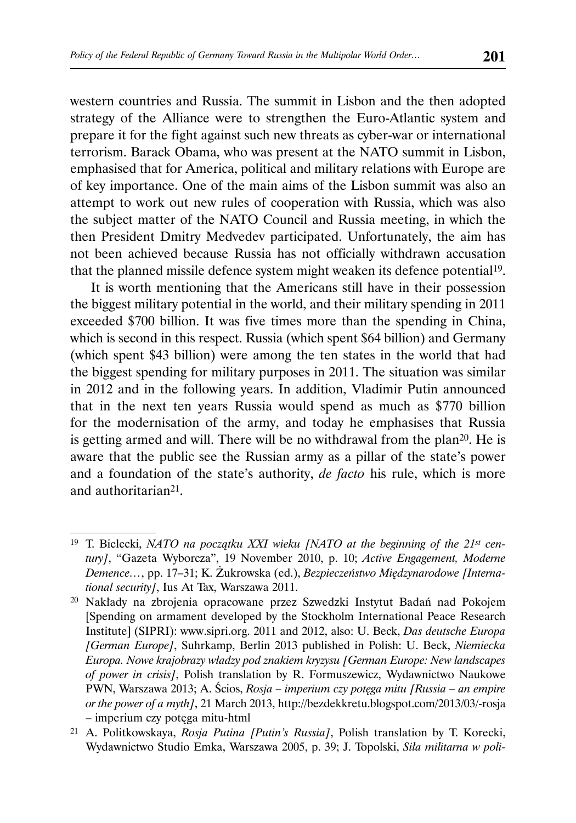western countries and Russia. The summit in Lisbon and the then adopted strategy of the Alliance were to strengthen the Euro-Atlantic system and prepare it for the fight against such new threats as cyber-war or international terrorism. Barack Obama, who was present at the NATO summit in Lisbon, emphasised that for America, political and military relations with Europe are of key importance. One of the main aims of the Lisbon summit was also an attempt to work out new rules of cooperation with Russia, which was also the subject matter of the NATO Council and Russia meeting, in which the then President Dmitry Medvedev participated. Unfortunately, the aim has not been achieved because Russia has not officially withdrawn accusation that the planned missile defence system might weaken its defence potential19.

It is worth mentioning that the Americans still have in their possession the biggest military potential in the world, and their military spending in 2011 exceeded \$700 billion. It was five times more than the spending in China, which is second in this respect. Russia (which spent \$64 billion) and Germany (which spent \$43 billion) were among the ten states in the world that had the biggest spending for military purposes in 2011. The situation was similar in 2012 and in the following years. In addition, Vladimir Putin announced that in the next ten years Russia would spend as much as \$770 billion for the modernisation of the army, and today he emphasises that Russia is getting armed and will. There will be no withdrawal from the plan20. He is aware that the public see the Russian army as a pillar of the state's power and a foundation of the state's authority, *de facto* his rule, which is more and authoritarian21.

<sup>19</sup> T. Bielecki, *NATO na początku XXI wieku [NATO at the beginning of the 21st century]*, "Gazeta Wyborcza", 19 November 2010, p. 10; *Active Engagement, Moderne Demence…*, pp. 17–31; K. Żukrowska (ed.), *Bezpieczeństwo Międzynarodowe [International security]*, Ius At Tax, Warszawa 2011.

<sup>20</sup> Nakłady na zbrojenia opracowane przez Szwedzki Instytut Badań nad Pokojem [Spending on armament developed by the Stockholm International Peace Research Institute] (SIPRI): www.sipri.org. 2011 and 2012, also: U. Beck, *Das deutsche Europa [German Europe]*, Suhrkamp, Berlin 2013 published in Polish: U. Beck, *Niemiecka Europa. Nowe krajobrazy władzy pod znakiem kryzysu [German Europe: New landscapes of power in crisis]*, Polish translation by R. Formuszewicz, Wydawnictwo Naukowe PWN, Warszawa 2013; A. Ścios, *Rosja – imperium czy potęga mitu [Russia – an empire or the power of a myth]*, 21 March 2013, http://bezdekkretu.blogspot.com/2013/03/-rosja – imperium czy potęga mitu-html

<sup>21</sup> A. Politkowskaya, *Rosja Putina [Putin's Russia]*, Polish translation by T. Korecki, Wydawnictwo Studio Emka, Warszawa 2005, p. 39; J. Topolski, *Siła militarna w poli-*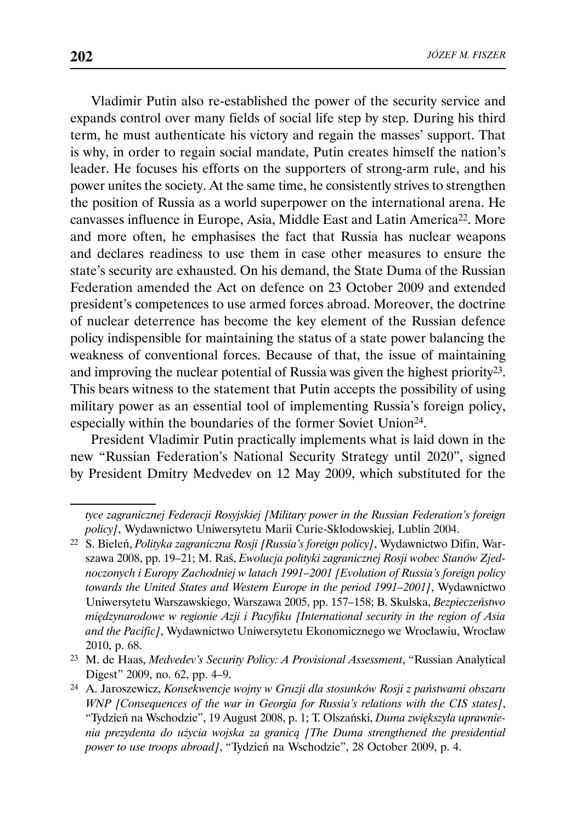Vladimir Putin also re-established the power of the security service and expands control over many fields of social life step by step. During his third term, he must authenticate his victory and regain the masses' support. That is why, in order to regain social mandate, Putin creates himself the nation's leader. He focuses his efforts on the supporters of strong-arm rule, and his power unites the society. At the same time, he consistently strives to strengthen the position of Russia as a world superpower on the international arena. He canvasses influence in Europe, Asia, Middle East and Latin America22. More and more often, he emphasises the fact that Russia has nuclear weapons and declares readiness to use them in case other measures to ensure the state's security are exhausted. On his demand, the State Duma of the Russian Federation amended the Act on defence on 23 October 2009 and extended president's competences to use armed forces abroad. Moreover, the doctrine of nuclear deterrence has become the key element of the Russian defence policy indispensible for maintaining the status of a state power balancing the weakness of conventional forces. Because of that, the issue of maintaining and improving the nuclear potential of Russia was given the highest priority<sup>23</sup>. This bears witness to the statement that Putin accepts the possibility of using military power as an essential tool of implementing Russia's foreign policy, especially within the boundaries of the former Soviet Union24.

President Vladimir Putin practically implements what is laid down in the new "Russian Federation's National Security Strategy until 2020", signed by President Dmitry Medvedev on 12 May 2009, which substituted for the

*tyce zagranicznej Federacji Rosyjskiej [Military power in the Russian Federation's foreign policy]*, Wydawnictwo Uniwersytetu Marii Curie-Skłodowskiej, Lublin 2004.

<sup>22</sup> S. Bieleń, *Polityka zagraniczna Rosji [Russia's foreign policy]*, Wydawnictwo Difin, Warszawa 2008, pp. 19–21; M. Raś, *Ewolucja polityki zagranicznej Rosji wobec Stanów Zjednoczonych i Europy Zachodniej w latach 1991–2001 [Evolution of Russia's foreign policy towards the United States and Western Europe in the period 1991–2001]*, Wydawnictwo Uniwersytetu Warszawskiego, Warszawa 2005, pp. 157–158; B. Skulska, *Bezpieczeństwo międzynarodowe w regionie Azji i Pacyfiku [International security in the region of Asia and the Pacific]*, Wydawnictwo Uniwersytetu Ekonomicznego we Wrocławiu, Wrocław 2010, p. 68.

<sup>23</sup> M. de Haas, *Medvedev's Security Policy: A Provisional Assessment*, "Russian Analytical Digest" 2009, no. 62, pp. 4–9.

<sup>24</sup> A. Jaroszewicz, *Konsekwencje wojny w Gruzji dla stosunków Rosji z państwami obszaru WNP [Consequences of the war in Georgia for Russia's relations with the CIS states]*, "Tydzień na Wschodzie", 19 August 2008, p. 1; T. Olszański, *Duma zwiększyła uprawnienia prezydenta do użycia wojska za granicą [The Duma strengthened the presidential power to use troops abroad]*, "Tydzień na Wschodzie", 28 October 2009, p. 4.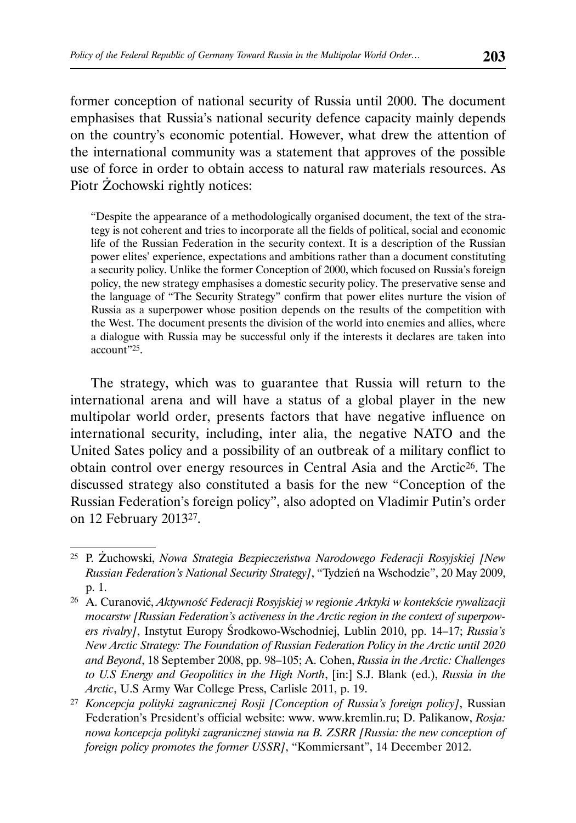former conception of national security of Russia until 2000. The document emphasises that Russia's national security defence capacity mainly depends on the country's economic potential. However, what drew the attention of the international community was a statement that approves of the possible use of force in order to obtain access to natural raw materials resources. As Piotr Żochowski rightly notices:

"Despite the appearance of a methodologically organised document, the text of the strategy is not coherent and tries to incorporate all the fields of political, social and economic life of the Russian Federation in the security context. It is a description of the Russian power elites' experience, expectations and ambitions rather than a document constituting a security policy. Unlike the former Conception of 2000, which focused on Russia's foreign policy, the new strategy emphasises a domestic security policy. The preservative sense and the language of "The Security Strategy" confirm that power elites nurture the vision of Russia as a superpower whose position depends on the results of the competition with the West. The document presents the division of the world into enemies and allies, where a dialogue with Russia may be successful only if the interests it declares are taken into account"25.

The strategy, which was to guarantee that Russia will return to the international arena and will have a status of a global player in the new multipolar world order, presents factors that have negative influence on international security, including, inter alia, the negative NATO and the United Sates policy and a possibility of an outbreak of a military conflict to obtain control over energy resources in Central Asia and the Arctic26. The discussed strategy also constituted a basis for the new "Conception of the Russian Federation's foreign policy", also adopted on Vladimir Putin's order on 12 February 201327.

<sup>25</sup> P. Żuchowski, *Nowa Strategia Bezpieczeństwa Narodowego Federacji Rosyjskiej [New Russian Federation's National Security Strategy]*, "Tydzień na Wschodzie", 20 May 2009, p. 1.

<sup>26</sup> A. Curanović, *Aktywność Federacji Rosyjskiej w regionie Arktyki w kontekście rywalizacji mocarstw [Russian Federation's activeness in the Arctic region in the context of superpowers rivalry]*, Instytut Europy Środkowo-Wschodniej, Lublin 2010, pp. 14–17; *Russia's New Arctic Strategy: The Foundation of Russian Federation Policy in the Arctic until 2020 and Beyond*, 18 September 2008, pp. 98–105; A. Cohen, *Russia in the Arctic: Challenges to U.S Energy and Geopolitics in the High North*, [in:] S.J. Blank (ed.), *Russia in the Arctic*, U.S Army War College Press, Carlisle 2011, p. 19.

<sup>27</sup> *Koncepcja polityki zagranicznej Rosji [Conception of Russia's foreign policy]*, Russian Federation's President's official website: www. www.kremlin.ru; D. Palikanow, *Rosja: nowa koncepcja polityki zagranicznej stawia na B. ZSRR [Russia: the new conception of foreign policy promotes the former USSR]*, "Kommiersant", 14 December 2012.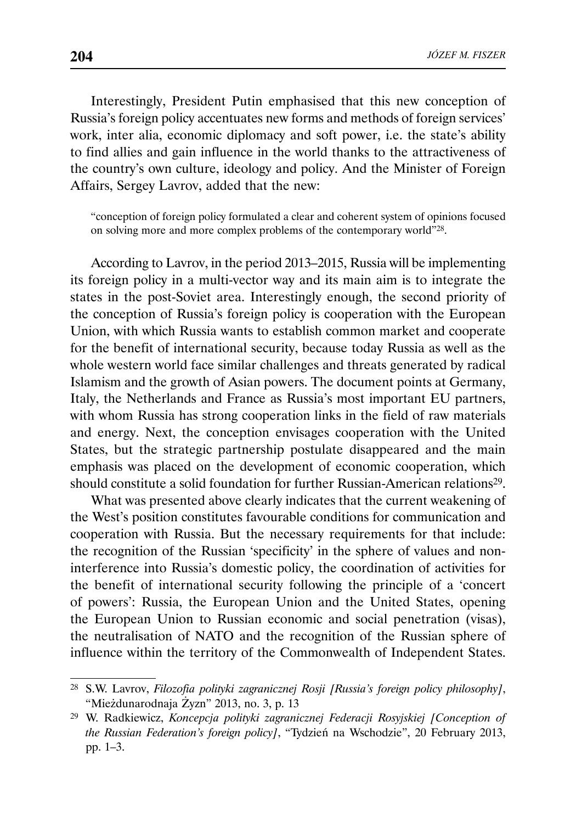Interestingly, President Putin emphasised that this new conception of Russia's foreign policy accentuates new forms and methods of foreign services' work, inter alia, economic diplomacy and soft power, i.e. the state's ability to find allies and gain influence in the world thanks to the attractiveness of the country's own culture, ideology and policy. And the Minister of Foreign Affairs, Sergey Lavrov, added that the new:

"conception of foreign policy formulated a clear and coherent system of opinions focused on solving more and more complex problems of the contemporary world"28.

According to Lavrov, in the period 2013–2015, Russia will be implementing its foreign policy in a multi-vector way and its main aim is to integrate the states in the post-Soviet area. Interestingly enough, the second priority of the conception of Russia's foreign policy is cooperation with the European Union, with which Russia wants to establish common market and cooperate for the benefit of international security, because today Russia as well as the whole western world face similar challenges and threats generated by radical Islamism and the growth of Asian powers. The document points at Germany, Italy, the Netherlands and France as Russia's most important EU partners, with whom Russia has strong cooperation links in the field of raw materials and energy. Next, the conception envisages cooperation with the United States, but the strategic partnership postulate disappeared and the main emphasis was placed on the development of economic cooperation, which should constitute a solid foundation for further Russian-American relations29.

What was presented above clearly indicates that the current weakening of the West's position constitutes favourable conditions for communication and cooperation with Russia. But the necessary requirements for that include: the recognition of the Russian 'specificity' in the sphere of values and noninterference into Russia's domestic policy, the coordination of activities for the benefit of international security following the principle of a 'concert of powers': Russia, the European Union and the United States, opening the European Union to Russian economic and social penetration (visas), the neutralisation of NATO and the recognition of the Russian sphere of influence within the territory of the Commonwealth of Independent States.

<sup>28</sup> S.W. Lavrov, *Filozofia polityki zagranicznej Rosji [Russia's foreign policy philosophy]*, "Mieżdunarodnaja Żyzn" 2013, no. 3, p. 13

<sup>29</sup> W. Radkiewicz, *Koncepcja polityki zagranicznej Federacji Rosyjskiej [Conception of the Russian Federation's foreign policy]*, "Tydzień na Wschodzie", 20 February 2013, pp. 1–3.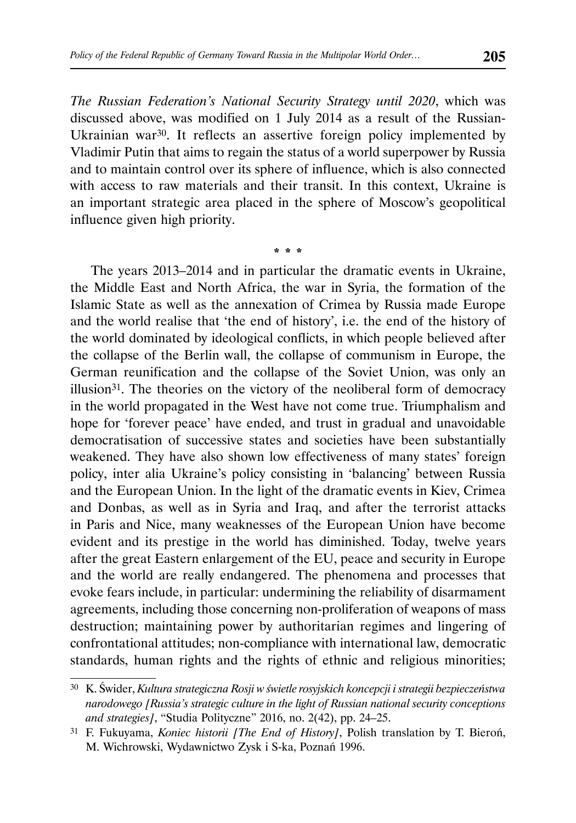*The Russian Federation's National Security Strategy until 2020*, which was discussed above, was modified on 1 July 2014 as a result of the Russian-Ukrainian war<sup>30</sup>. It reflects an assertive foreign policy implemented by Vladimir Putin that aims to regain the status of a world superpower by Russia and to maintain control over its sphere of influence, which is also connected with access to raw materials and their transit. In this context, Ukraine is an important strategic area placed in the sphere of Moscow's geopolitical influence given high priority.

\* \* \*

The years 2013–2014 and in particular the dramatic events in Ukraine, the Middle East and North Africa, the war in Syria, the formation of the Islamic State as well as the annexation of Crimea by Russia made Europe and the world realise that 'the end of history', i.e. the end of the history of the world dominated by ideological conflicts, in which people believed after the collapse of the Berlin wall, the collapse of communism in Europe, the German reunification and the collapse of the Soviet Union, was only an illusion31. The theories on the victory of the neoliberal form of democracy in the world propagated in the West have not come true. Triumphalism and hope for 'forever peace' have ended, and trust in gradual and unavoidable democratisation of successive states and societies have been substantially weakened. They have also shown low effectiveness of many states' foreign policy, inter alia Ukraine's policy consisting in 'balancing' between Russia and the European Union. In the light of the dramatic events in Kiev, Crimea and Donbas, as well as in Syria and Iraq, and after the terrorist attacks in Paris and Nice, many weaknesses of the European Union have become evident and its prestige in the world has diminished. Today, twelve years after the great Eastern enlargement of the EU, peace and security in Europe and the world are really endangered. The phenomena and processes that evoke fears include, in particular: undermining the reliability of disarmament agreements, including those concerning non-proliferation of weapons of mass destruction; maintaining power by authoritarian regimes and lingering of confrontational attitudes; non-compliance with international law, democratic standards, human rights and the rights of ethnic and religious minorities;

<sup>30</sup> K. Świder, *Kultura strategiczna Rosji w świetle rosyjskich koncepcji i strategii bezpieczeństwa narodowego [Russia's strategic culture in the light of Russian national security conceptions and strategies]*, "Studia Polityczne" 2016, no. 2(42), pp. 24–25.

<sup>31</sup> F. Fukuyama, *Koniec historii [The End of History]*, Polish translation by T. Bieroń, M. Wichrowski, Wydawnictwo Zysk i S-ka, Poznań 1996.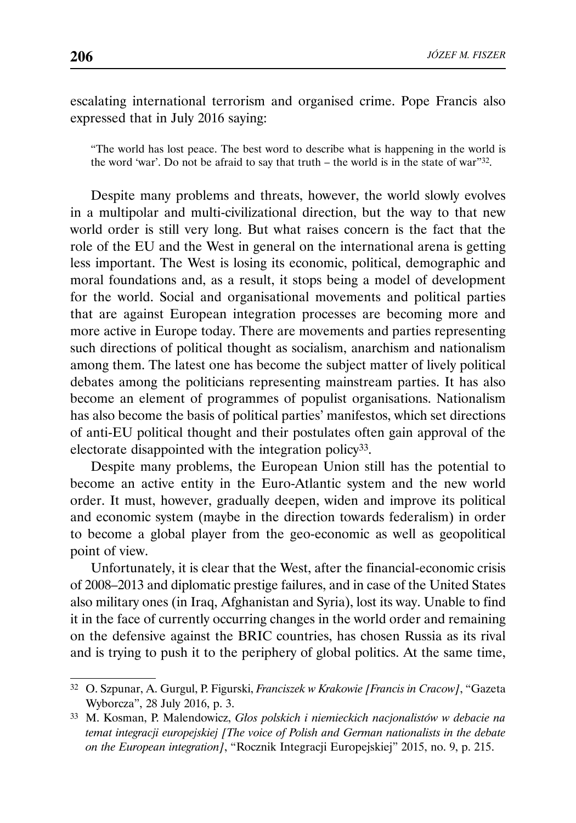escalating international terrorism and organised crime. Pope Francis also expressed that in July 2016 saying:

"The world has lost peace. The best word to describe what is happening in the world is the word 'war'. Do not be afraid to say that truth – the world is in the state of war"32.

Despite many problems and threats, however, the world slowly evolves in a multipolar and multi-civilizational direction, but the way to that new world order is still very long. But what raises concern is the fact that the role of the EU and the West in general on the international arena is getting less important. The West is losing its economic, political, demographic and moral foundations and, as a result, it stops being a model of development for the world. Social and organisational movements and political parties that are against European integration processes are becoming more and more active in Europe today. There are movements and parties representing such directions of political thought as socialism, anarchism and nationalism among them. The latest one has become the subject matter of lively political debates among the politicians representing mainstream parties. It has also become an element of programmes of populist organisations. Nationalism has also become the basis of political parties' manifestos, which set directions of anti-EU political thought and their postulates often gain approval of the electorate disappointed with the integration policy33.

Despite many problems, the European Union still has the potential to become an active entity in the Euro-Atlantic system and the new world order. It must, however, gradually deepen, widen and improve its political and economic system (maybe in the direction towards federalism) in order to become a global player from the geo-economic as well as geopolitical point of view.

Unfortunately, it is clear that the West, after the financial-economic crisis of 2008–2013 and diplomatic prestige failures, and in case of the United States also military ones (in Iraq, Afghanistan and Syria), lost its way. Unable to find it in the face of currently occurring changes in the world order and remaining on the defensive against the BRIC countries, has chosen Russia as its rival and is trying to push it to the periphery of global politics. At the same time,

<sup>32</sup> O. Szpunar, A. Gurgul, P. Figurski, *Franciszek w Krakowie [Francis in Cracow]*, "Gazeta Wyborcza", 28 July 2016, p. 3.

<sup>33</sup> M. Kosman, P. Malendowicz, *Głos polskich i niemieckich nacjonalistów w debacie na temat integracji europejskiej [The voice of Polish and German nationalists in the debate on the European integration]*, "Rocznik Integracji Europejskiej" 2015, no. 9, p. 215.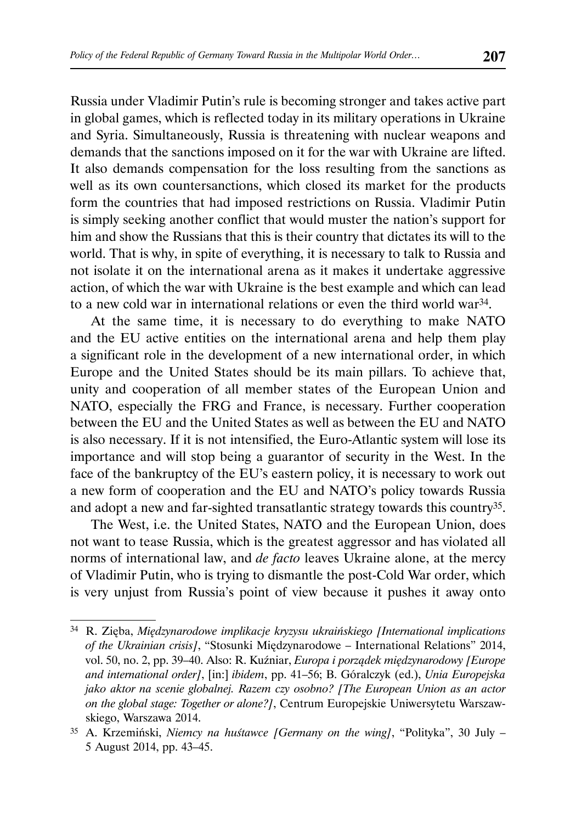Russia under Vladimir Putin's rule is becoming stronger and takes active part in global games, which is reflected today in its military operations in Ukraine and Syria. Simultaneously, Russia is threatening with nuclear weapons and demands that the sanctions imposed on it for the war with Ukraine are lifted. It also demands compensation for the loss resulting from the sanctions as well as its own countersanctions, which closed its market for the products form the countries that had imposed restrictions on Russia. Vladimir Putin is simply seeking another conflict that would muster the nation's support for him and show the Russians that this is their country that dictates its will to the world. That is why, in spite of everything, it is necessary to talk to Russia and not isolate it on the international arena as it makes it undertake aggressive action, of which the war with Ukraine is the best example and which can lead to a new cold war in international relations or even the third world war34.

At the same time, it is necessary to do everything to make NATO and the EU active entities on the international arena and help them play a significant role in the development of a new international order, in which Europe and the United States should be its main pillars. To achieve that, unity and cooperation of all member states of the European Union and NATO, especially the FRG and France, is necessary. Further cooperation between the EU and the United States as well as between the EU and NATO is also necessary. If it is not intensified, the Euro-Atlantic system will lose its importance and will stop being a guarantor of security in the West. In the face of the bankruptcy of the EU's eastern policy, it is necessary to work out a new form of cooperation and the EU and NATO's policy towards Russia and adopt a new and far-sighted transatlantic strategy towards this country35.

The West, i.e. the United States, NATO and the European Union, does not want to tease Russia, which is the greatest aggressor and has violated all norms of international law, and *de facto* leaves Ukraine alone, at the mercy of Vladimir Putin, who is trying to dismantle the post-Cold War order, which is very unjust from Russia's point of view because it pushes it away onto

<sup>34</sup> R. Zięba, *Międzynarodowe implikacje kryzysu ukraińskiego [International implications of the Ukrainian crisis]*, "Stosunki Międzynarodowe – International Relations" 2014, vol. 50, no. 2, pp. 39–40. Also: R. Kuźniar, *Europa i porządek międzynarodowy [Europe and international order]*, [in:] *ibidem*, pp. 41–56; B. Góralczyk (ed.), *Unia Europejska jako aktor na scenie globalnej. Razem czy osobno? [The European Union as an actor on the global stage: Together or alone?]*, Centrum Europejskie Uniwersytetu Warszawskiego, Warszawa 2014.

<sup>35</sup> A. Krzemiński, *Niemcy na huśtawce [Germany on the wing]*, "Polityka", 30 July – 5 August 2014, pp. 43–45.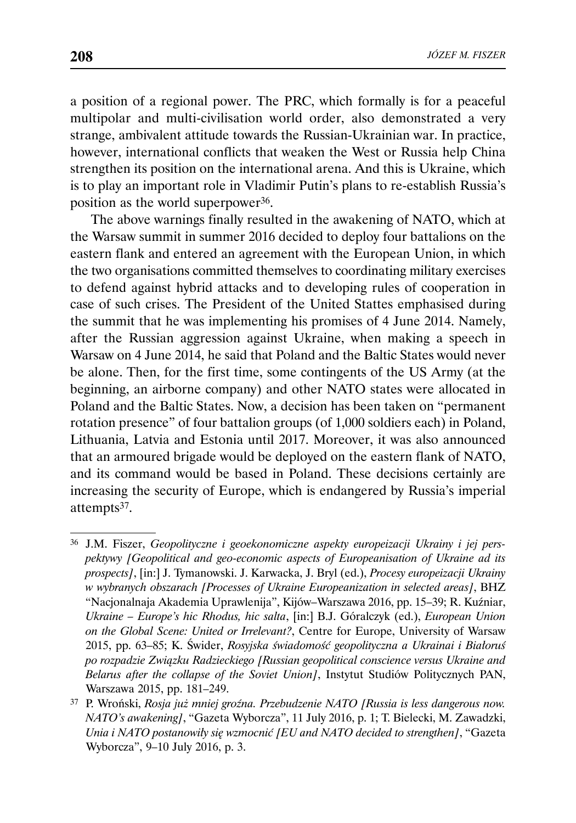a position of a regional power. The PRC, which formally is for a peaceful multipolar and multi-civilisation world order, also demonstrated a very strange, ambivalent attitude towards the Russian-Ukrainian war. In practice, however, international conflicts that weaken the West or Russia help China strengthen its position on the international arena. And this is Ukraine, which is to play an important role in Vladimir Putin's plans to re-establish Russia's position as the world superpower36.

The above warnings finally resulted in the awakening of NATO, which at the Warsaw summit in summer 2016 decided to deploy four battalions on the eastern flank and entered an agreement with the European Union, in which the two organisations committed themselves to coordinating military exercises to defend against hybrid attacks and to developing rules of cooperation in case of such crises. The President of the United Stattes emphasised during the summit that he was implementing his promises of 4 June 2014. Namely, after the Russian aggression against Ukraine, when making a speech in Warsaw on 4 June 2014, he said that Poland and the Baltic States would never be alone. Then, for the first time, some contingents of the US Army (at the beginning, an airborne company) and other NATO states were allocated in Poland and the Baltic States. Now, a decision has been taken on "permanent rotation presence" of four battalion groups (of 1,000 soldiers each) in Poland, Lithuania, Latvia and Estonia until 2017. Moreover, it was also announced that an armoured brigade would be deployed on the eastern flank of NATO, and its command would be based in Poland. These decisions certainly are increasing the security of Europe, which is endangered by Russia's imperial attempts37.

<sup>36</sup> J.M. Fiszer, *Geopolityczne i geoekonomiczne aspekty europeizacji Ukrainy i jej perspektywy [Geopolitical and geo-economic aspects of Europeanisation of Ukraine ad its prospects]*, [in:] J. Tymanowski. J. Karwacka, J. Bryl (ed.), *Procesy europeizacji Ukrainy w wybranych obszarach [Processes of Ukraine Europeanization in selected areas]*, BHZ "Nacjonalnaja Akademia Uprawlenija", Kijów–Warszawa 2016, pp. 15–39; R. Kuźniar, *Ukraine – Europe's hic Rhodus, hic salta*, [in:] B.J. Góralczyk (ed.), *European Union on the Global Scene: United or Irrelevant?*, Centre for Europe, University of Warsaw 2015, pp. 63–85; K. Świder, *Rosyjska świadomość geopolityczna a Ukrainai i Białoruś po rozpadzie Związku Radzieckiego [Russian geopolitical conscience versus Ukraine and Belarus after the collapse of the Soviet Union]*, Instytut Studiów Politycznych PAN, Warszawa 2015, pp. 181–249.

<sup>37</sup> P. Wroński, *Rosja już mniej groźna. Przebudzenie NATO [Russia is less dangerous now. NATO's awakening]*, "Gazeta Wyborcza", 11 July 2016, p. 1; T. Bielecki, M. Zawadzki, *Unia i NATO postanowiły się wzmocnić [EU and NATO decided to strengthen]*, "Gazeta Wyborcza", 9–10 July 2016, p. 3.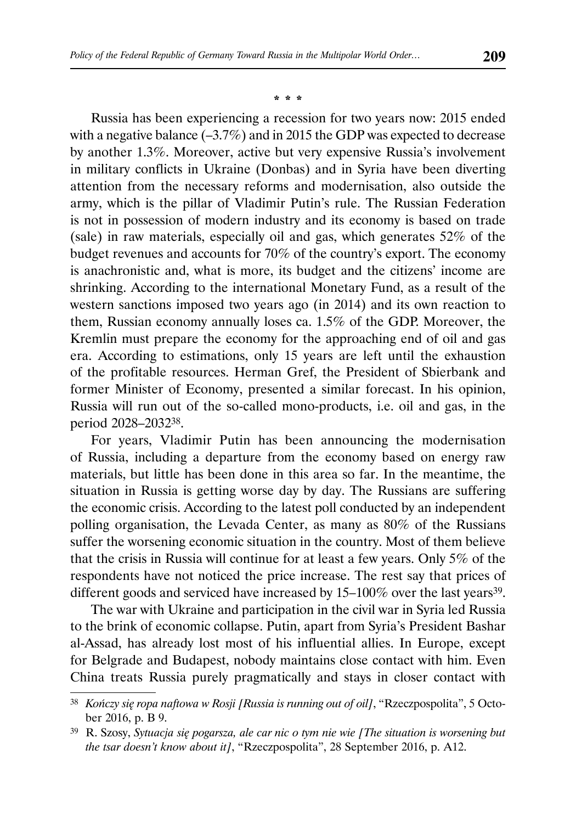#### \* \* \*

Russia has been experiencing a recession for two years now: 2015 ended with a negative balance (–3.7%) and in 2015 the GDP was expected to decrease by another 1.3%. Moreover, active but very expensive Russia's involvement in military conflicts in Ukraine (Donbas) and in Syria have been diverting attention from the necessary reforms and modernisation, also outside the army, which is the pillar of Vladimir Putin's rule. The Russian Federation is not in possession of modern industry and its economy is based on trade (sale) in raw materials, especially oil and gas, which generates 52% of the budget revenues and accounts for 70% of the country's export. The economy is anachronistic and, what is more, its budget and the citizens' income are shrinking. According to the international Monetary Fund, as a result of the western sanctions imposed two years ago (in 2014) and its own reaction to them, Russian economy annually loses ca. 1.5% of the GDP. Moreover, the Kremlin must prepare the economy for the approaching end of oil and gas era. According to estimations, only 15 years are left until the exhaustion of the profitable resources. Herman Gref, the President of Sbierbank and former Minister of Economy, presented a similar forecast. In his opinion, Russia will run out of the so-called mono-products, i.e. oil and gas, in the period 2028–203238.

For years, Vladimir Putin has been announcing the modernisation of Russia, including a departure from the economy based on energy raw materials, but little has been done in this area so far. In the meantime, the situation in Russia is getting worse day by day. The Russians are suffering the economic crisis. According to the latest poll conducted by an independent polling organisation, the Levada Center, as many as 80% of the Russians suffer the worsening economic situation in the country. Most of them believe that the crisis in Russia will continue for at least a few years. Only 5% of the respondents have not noticed the price increase. The rest say that prices of different goods and serviced have increased by  $15-100\%$  over the last years<sup>39</sup>.

The war with Ukraine and participation in the civil war in Syria led Russia to the brink of economic collapse. Putin, apart from Syria's President Bashar al-Assad, has already lost most of his influential allies. In Europe, except for Belgrade and Budapest, nobody maintains close contact with him. Even China treats Russia purely pragmatically and stays in closer contact with

<sup>38</sup> *Kończy się ropa naftowa w Rosji [Russia is running out of oil]*, "Rzeczpospolita", 5 October 2016, p. B 9.

<sup>39</sup> R. Szosy, *Sytuacja się pogarsza, ale car nic o tym nie wie [The situation is worsening but the tsar doesn't know about it]*, "Rzeczpospolita", 28 September 2016, p. A12.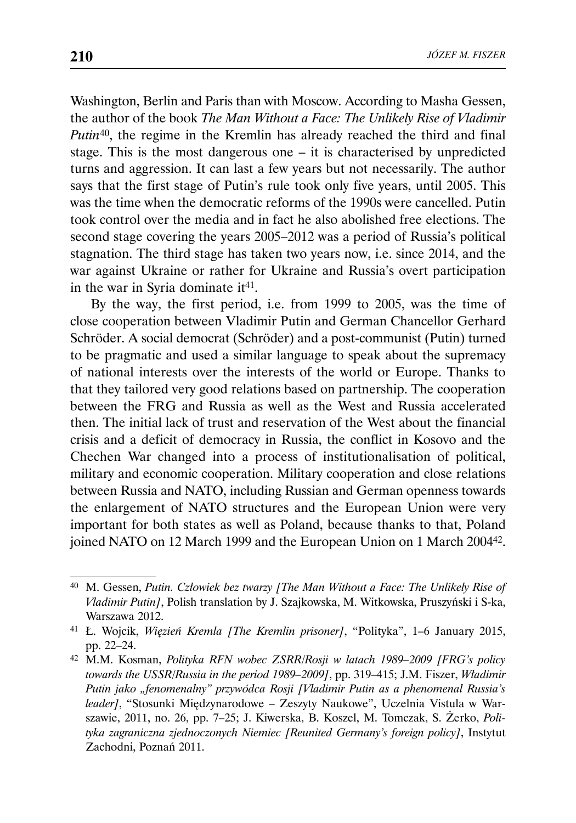Washington, Berlin and Paris than with Moscow. According to Masha Gessen, the author of the book *The Man Without a Face: The Unlikely Rise of Vladimir Putin*<sup>40</sup>, the regime in the Kremlin has already reached the third and final stage. This is the most dangerous one – it is characterised by unpredicted turns and aggression. It can last a few years but not necessarily. The author says that the first stage of Putin's rule took only five years, until 2005. This was the time when the democratic reforms of the 1990s were cancelled. Putin took control over the media and in fact he also abolished free elections. The second stage covering the years 2005–2012 was a period of Russia's political stagnation. The third stage has taken two years now, i.e. since 2014, and the war against Ukraine or rather for Ukraine and Russia's overt participation in the war in Syria dominate  $it<sup>41</sup>$ .

By the way, the first period, i.e. from 1999 to 2005, was the time of close cooperation between Vladimir Putin and German Chancellor Gerhard Schröder. A social democrat (Schröder) and a post-communist (Putin) turned to be pragmatic and used a similar language to speak about the supremacy of national interests over the interests of the world or Europe. Thanks to that they tailored very good relations based on partnership. The cooperation between the FRG and Russia as well as the West and Russia accelerated then. The initial lack of trust and reservation of the West about the financial crisis and a deficit of democracy in Russia, the conflict in Kosovo and the Chechen War changed into a process of institutionalisation of political, military and economic cooperation. Military cooperation and close relations between Russia and NATO, including Russian and German openness towards the enlargement of NATO structures and the European Union were very important for both states as well as Poland, because thanks to that, Poland joined NATO on 12 March 1999 and the European Union on 1 March 200442.

<sup>40</sup> M. Gessen, *Putin. Człowiek bez twarzy [The Man Without a Face: The Unlikely Rise of Vladimir Putin]*, Polish translation by J. Szajkowska, M. Witkowska, Pruszyński i S-ka, Warszawa 2012.

<sup>41</sup> Ł. Wojcik, *Więzień Kremla [The Kremlin prisoner]*, "Polityka", 1–6 January 2015, pp. 22–24.

<sup>42</sup> M.M. Kosman, *Polityka RFN wobec ZSRR/Rosji w latach 1989–2009 [FRG's policy towards the USSR/Russia in the period 1989–2009]*, pp. 319–415; J.M. Fiszer, *Władimir Putin jako "fenomenalny" przywódca Rosji [Vladimir Putin as a phenomenal Russia's leader]*, "Stosunki Międzynarodowe – Zeszyty Naukowe", Uczelnia Vistula w Warszawie, 2011, no. 26, pp. 7–25; J. Kiwerska, B. Koszel, M. Tomczak, S. Żerko, *Polityka zagraniczna zjednoczonych Niemiec [Reunited Germany's foreign policy]*, Instytut Zachodni, Poznań 2011.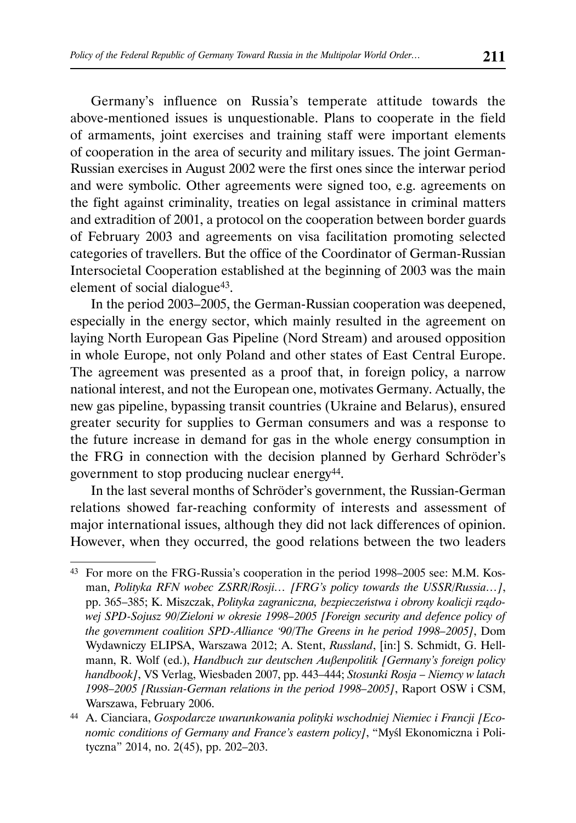Germany's influence on Russia's temperate attitude towards the above-mentioned issues is unquestionable. Plans to cooperate in the field of armaments, joint exercises and training staff were important elements of cooperation in the area of security and military issues. The joint German-Russian exercises in August 2002 were the first ones since the interwar period and were symbolic. Other agreements were signed too, e.g. agreements on the fight against criminality, treaties on legal assistance in criminal matters and extradition of 2001, a protocol on the cooperation between border guards of February 2003 and agreements on visa facilitation promoting selected categories of travellers. But the office of the Coordinator of German-Russian Intersocietal Cooperation established at the beginning of 2003 was the main element of social dialogue<sup>43</sup>.

In the period 2003–2005, the German-Russian cooperation was deepened, especially in the energy sector, which mainly resulted in the agreement on laying North European Gas Pipeline (Nord Stream) and aroused opposition in whole Europe, not only Poland and other states of East Central Europe. The agreement was presented as a proof that, in foreign policy, a narrow national interest, and not the European one, motivates Germany. Actually, the new gas pipeline, bypassing transit countries (Ukraine and Belarus), ensured greater security for supplies to German consumers and was a response to the future increase in demand for gas in the whole energy consumption in the FRG in connection with the decision planned by Gerhard Schröder's government to stop producing nuclear energy44.

In the last several months of Schröder's government, the Russian-German relations showed far-reaching conformity of interests and assessment of major international issues, although they did not lack differences of opinion. However, when they occurred, the good relations between the two leaders

<sup>43</sup> For more on the FRG-Russia's cooperation in the period 1998–2005 see: M.M. Kosman, *Polityka RFN wobec ZSRR/Rosji… [FRG's policy towards the USSR/Russia…]*, pp. 365–385; K. Miszczak, *Polityka zagraniczna, bezpieczeństwa i obrony koalicji rządowej SPD-Sojusz 90/Zieloni w okresie 1998–2005 [Foreign security and defence policy of the government coalition SPD-Alliance '90/The Greens in he period 1998–2005]*, Dom Wydawniczy ELIPSA, Warszawa 2012; A. Stent, *Russland*, [in:] S. Schmidt, G. Hellmann, R. Wolf (ed.), *Handbuch zur deutschen Außenpolitik [Germany's foreign policy handbook]*, VS Verlag, Wiesbaden 2007, pp. 443–444; *Stosunki Rosja – Niemcy w latach 1998–2005 [Russian-German relations in the period 1998–2005]*, Raport OSW i CSM, Warszawa, February 2006.

<sup>44</sup> A. Cianciara, *Gospodarcze uwarunkowania polityki wschodniej Niemiec i Francji [Economic conditions of Germany and France's eastern policy]*, "Myśl Ekonomiczna i Polityczna" 2014, no. 2(45), pp. 202–203.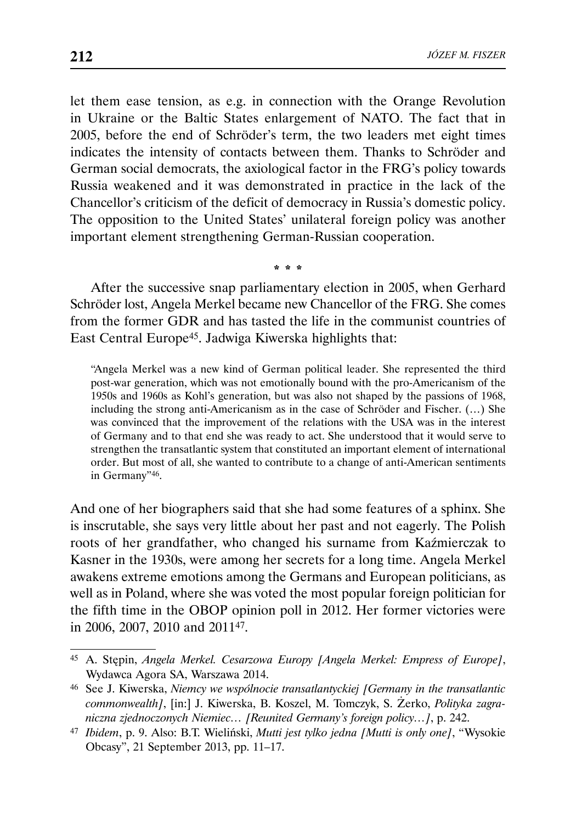let them ease tension, as e.g. in connection with the Orange Revolution in Ukraine or the Baltic States enlargement of NATO. The fact that in 2005, before the end of Schröder's term, the two leaders met eight times indicates the intensity of contacts between them. Thanks to Schröder and German social democrats, the axiological factor in the FRG's policy towards Russia weakened and it was demonstrated in practice in the lack of the Chancellor's criticism of the deficit of democracy in Russia's domestic policy. The opposition to the United States' unilateral foreign policy was another important element strengthening German-Russian cooperation.

After the successive snap parliamentary election in 2005, when Gerhard Schröder lost, Angela Merkel became new Chancellor of the FRG. She comes from the former GDR and has tasted the life in the communist countries of East Central Europe45. Jadwiga Kiwerska highlights that:

\* \* \*

"Angela Merkel was a new kind of German political leader. She represented the third post-war generation, which was not emotionally bound with the pro-Americanism of the 1950s and 1960s as Kohl's generation, but was also not shaped by the passions of 1968, including the strong anti-Americanism as in the case of Schröder and Fischer. (…) She was convinced that the improvement of the relations with the USA was in the interest of Germany and to that end she was ready to act. She understood that it would serve to strengthen the transatlantic system that constituted an important element of international order. But most of all, she wanted to contribute to a change of anti-American sentiments in Germany"46.

And one of her biographers said that she had some features of a sphinx. She is inscrutable, she says very little about her past and not eagerly. The Polish roots of her grandfather, who changed his surname from Kaźmierczak to Kasner in the 1930s, were among her secrets for a long time. Angela Merkel awakens extreme emotions among the Germans and European politicians, as well as in Poland, where she was voted the most popular foreign politician for the fifth time in the OBOP opinion poll in 2012. Her former victories were in 2006, 2007, 2010 and 201147.

<sup>45</sup> A. Stępin, *Angela Merkel. Cesarzowa Europy [Angela Merkel: Empress of Europe]*, Wydawca Agora SA, Warszawa 2014.

<sup>46</sup> See J. Kiwerska, *Niemcy we wspólnocie transatlantyckiej [Germany in the transatlantic commonwealth]*, [in:] J. Kiwerska, B. Koszel, M. Tomczyk, S. Żerko, *Polityka zagraniczna zjednoczonych Niemiec… [Reunited Germany's foreign policy…]*, p. 242.

<sup>47</sup> *Ibidem*, p. 9. Also: B.T. Wieliński, *Mutti jest tylko jedna [Mutti is only one]*, "Wysokie Obcasy", 21 September 2013, pp. 11–17.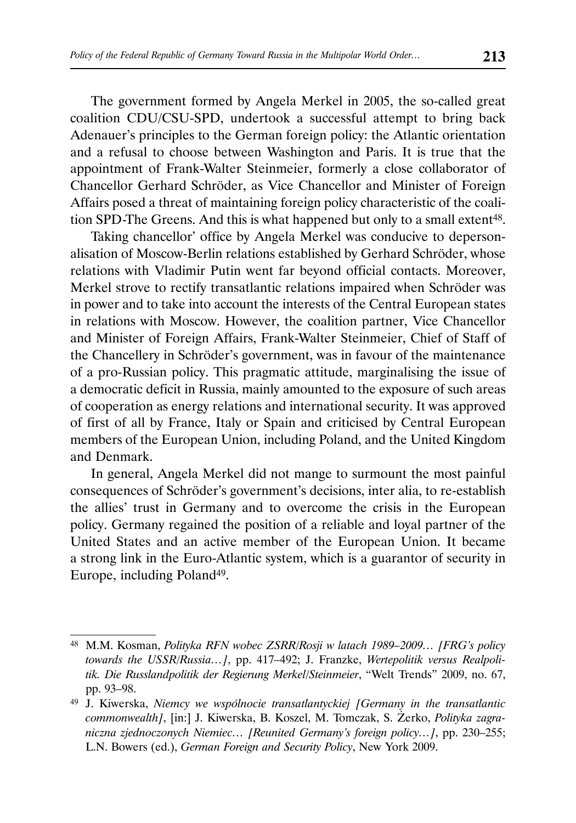The government formed by Angela Merkel in 2005, the so-called great coalition CDU/CSU-SPD, undertook a successful attempt to bring back Adenauer's principles to the German foreign policy: the Atlantic orientation and a refusal to choose between Washington and Paris. It is true that the appointment of Frank-Walter Steinmeier, formerly a close collaborator of Chancellor Gerhard Schröder, as Vice Chancellor and Minister of Foreign Affairs posed a threat of maintaining foreign policy characteristic of the coalition SPD-The Greens. And this is what happened but only to a small extent<sup>48</sup>.

Taking chancellor' office by Angela Merkel was conducive to depersonalisation of Moscow-Berlin relations established by Gerhard Schröder, whose relations with Vladimir Putin went far beyond official contacts. Moreover, Merkel strove to rectify transatlantic relations impaired when Schröder was in power and to take into account the interests of the Central European states in relations with Moscow. However, the coalition partner, Vice Chancellor and Minister of Foreign Affairs, Frank-Walter Steinmeier, Chief of Staff of the Chancellery in Schröder's government, was in favour of the maintenance of a pro-Russian policy. This pragmatic attitude, marginalising the issue of a democratic deficit in Russia, mainly amounted to the exposure of such areas of cooperation as energy relations and international security. It was approved of first of all by France, Italy or Spain and criticised by Central European members of the European Union, including Poland, and the United Kingdom and Denmark.

In general, Angela Merkel did not mange to surmount the most painful consequences of Schröder's government's decisions, inter alia, to re-establish the allies' trust in Germany and to overcome the crisis in the European policy. Germany regained the position of a reliable and loyal partner of the United States and an active member of the European Union. It became a strong link in the Euro-Atlantic system, which is a guarantor of security in Europe, including Poland<sup>49</sup>.

<sup>48</sup> M.M. Kosman, *Polityka RFN wobec ZSRR/Rosji w latach 1989–2009… [FRG's policy towards the USSR/Russia…]*, pp. 417–492; J. Franzke, *Wertepolitik versus Realpolitik. Die Russlandpolitik der Regierung Merkel/Steinmeier*, "Welt Trends" 2009, no. 67, pp. 93–98.

<sup>49</sup> J. Kiwerska, *Niemcy we wspólnocie transatlantyckiej [Germany in the transatlantic commonwealth]*, [in:] J. Kiwerska, B. Koszel, M. Tomczak, S. Żerko, *Polityka zagraniczna zjednoczonych Niemiec… [Reunited Germany's foreign policy…]*, pp. 230–255; L.N. Bowers (ed.), *German Foreign and Security Policy*, New York 2009.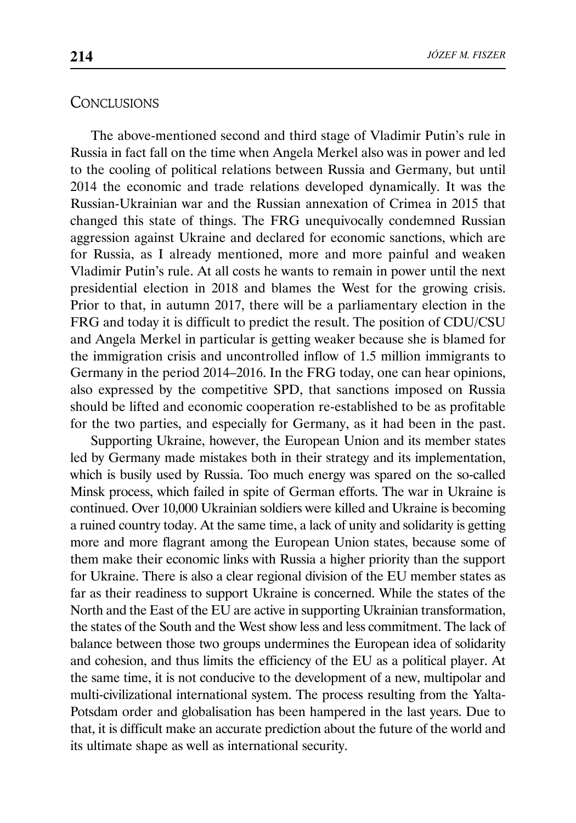#### **CONCLUSIONS**

The above-mentioned second and third stage of Vladimir Putin's rule in Russia in fact fall on the time when Angela Merkel also was in power and led to the cooling of political relations between Russia and Germany, but until 2014 the economic and trade relations developed dynamically. It was the Russian-Ukrainian war and the Russian annexation of Crimea in 2015 that changed this state of things. The FRG unequivocally condemned Russian aggression against Ukraine and declared for economic sanctions, which are for Russia, as I already mentioned, more and more painful and weaken Vladimir Putin's rule. At all costs he wants to remain in power until the next presidential election in 2018 and blames the West for the growing crisis. Prior to that, in autumn 2017, there will be a parliamentary election in the FRG and today it is difficult to predict the result. The position of CDU/CSU and Angela Merkel in particular is getting weaker because she is blamed for the immigration crisis and uncontrolled inflow of 1.5 million immigrants to Germany in the period 2014–2016. In the FRG today, one can hear opinions, also expressed by the competitive SPD, that sanctions imposed on Russia should be lifted and economic cooperation re-established to be as profitable for the two parties, and especially for Germany, as it had been in the past.

Supporting Ukraine, however, the European Union and its member states led by Germany made mistakes both in their strategy and its implementation, which is busily used by Russia. Too much energy was spared on the so-called Minsk process, which failed in spite of German efforts. The war in Ukraine is continued. Over 10,000 Ukrainian soldiers were killed and Ukraine is becoming a ruined country today. At the same time, a lack of unity and solidarity is getting more and more flagrant among the European Union states, because some of them make their economic links with Russia a higher priority than the support for Ukraine. There is also a clear regional division of the EU member states as far as their readiness to support Ukraine is concerned. While the states of the North and the East of the EU are active in supporting Ukrainian transformation, the states of the South and the West show less and less commitment. The lack of balance between those two groups undermines the European idea of solidarity and cohesion, and thus limits the efficiency of the EU as a political player. At the same time, it is not conducive to the development of a new, multipolar and multi-civilizational international system. The process resulting from the Yalta-Potsdam order and globalisation has been hampered in the last years. Due to that, it is difficult make an accurate prediction about the future of the world and its ultimate shape as well as international security.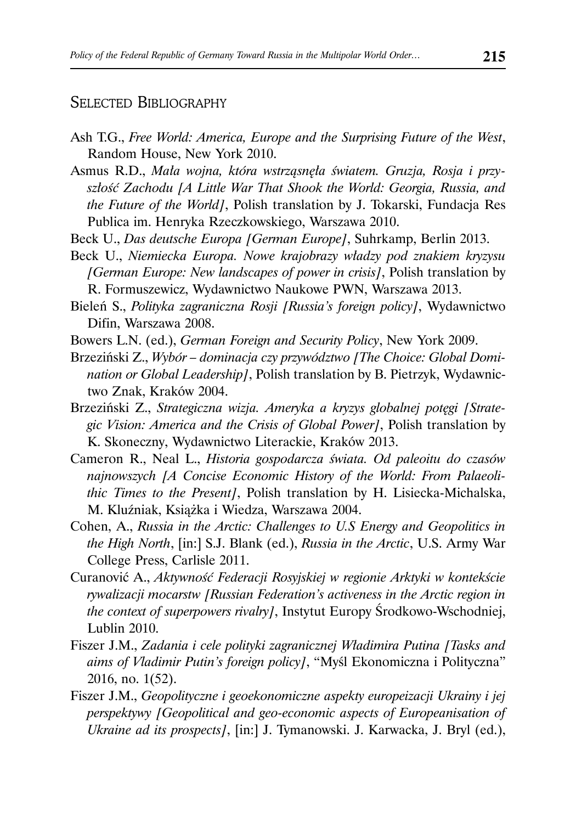### SELECTED BIBLIOGRAPHY

- Ash T.G., *Free World: America, Europe and the Surprising Future of the West*, Random House, New York 2010.
- Asmus R.D., *Mała wojna, która wstrząsnęła światem. Gruzja, Rosja i przyszłość Zachodu [A Little War That Shook the World: Georgia, Russia, and the Future of the World]*, Polish translation by J. Tokarski, Fundacja Res Publica im. Henryka Rzeczkowskiego, Warszawa 2010.
- Beck U., *Das deutsche Europa [German Europe]*, Suhrkamp, Berlin 2013.
- Beck U., *Niemiecka Europa. Nowe krajobrazy władzy pod znakiem kryzysu [German Europe: New landscapes of power in crisis]*, Polish translation by R. Formuszewicz, Wydawnictwo Naukowe PWN, Warszawa 2013.
- Bieleń S., *Polityka zagraniczna Rosji [Russia's foreign policy]*, Wydawnictwo Difin, Warszawa 2008.
- Bowers L.N. (ed.), *German Foreign and Security Policy*, New York 2009.
- Brzeziński Z., *Wybór dominacja czy przywództwo [The Choice: Global Domination or Global Leadership]*, Polish translation by B. Pietrzyk, Wydawnictwo Znak, Kraków 2004.
- Brzeziński Z., *Strategiczna wizja. Ameryka a kryzys globalnej potęgi [Strategic Vision: America and the Crisis of Global Power]*, Polish translation by K. Skoneczny, Wydawnictwo Literackie, Kraków 2013.
- Cameron R., Neal L., *Historia gospodarcza świata. Od paleoitu do czasów najnowszych [A Concise Economic History of the World: From Palaeolithic Times to the Present]*, Polish translation by H. Lisiecka-Michalska, M. Kluźniak, Książka i Wiedza, Warszawa 2004.
- Cohen, A., *Russia in the Arctic: Challenges to U.S Energy and Geopolitics in the High North*, [in:] S.J. Blank (ed.), *Russia in the Arctic*, U.S. Army War College Press, Carlisle 2011.
- Curanović A., *Aktywność Federacji Rosyjskiej w regionie Arktyki w kontekście rywalizacji mocarstw [Russian Federation's activeness in the Arctic region in the context of superpowers rivalry]*, Instytut Europy Środkowo-Wschodniej, Lublin 2010.
- Fiszer J.M., *Zadania i cele polityki zagranicznej Władimira Putina [Tasks and aims of Vladimir Putin's foreign policy]*, "Myśl Ekonomiczna i Polityczna" 2016, no. 1(52).
- Fiszer J.M., *Geopolityczne i geoekonomiczne aspekty europeizacji Ukrainy i jej perspektywy [Geopolitical and geo-economic aspects of Europeanisation of Ukraine ad its prospects]*, [in:] J. Tymanowski. J. Karwacka, J. Bryl (ed.),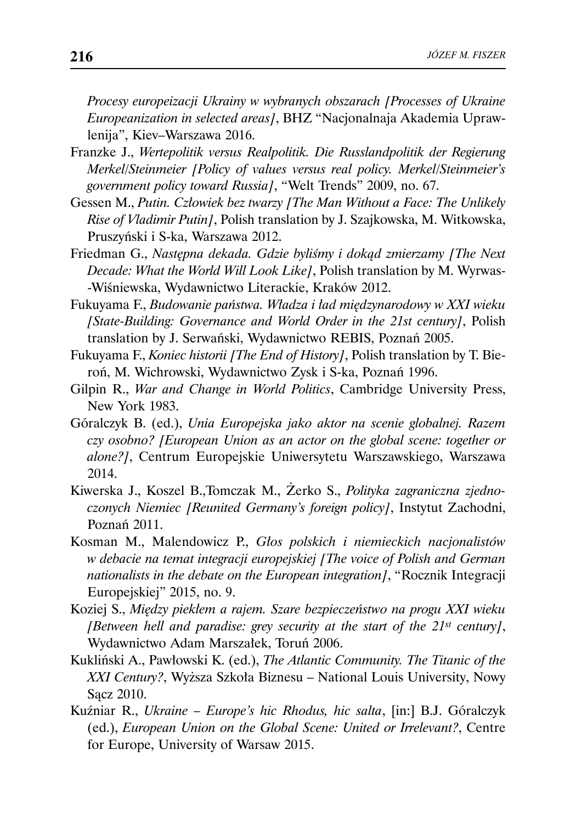*Procesy europeizacji Ukrainy w wybranych obszarach [Processes of Ukraine Europeanization in selected areas]*, BHZ "Nacjonalnaja Akademia Uprawlenija", Kiev–Warszawa 2016.

- Franzke J., *Wertepolitik versus Realpolitik. Die Russlandpolitik der Regierung Merkel/Steinmeier [Policy of values versus real policy. Merkel/Steinmeier's government policy toward Russia]*, "Welt Trends" 2009, no. 67.
- Gessen M., *Putin. Człowiek bez twarzy [The Man Without a Face: The Unlikely Rise of Vladimir Putin]*, Polish translation by J. Szajkowska, M. Witkowska, Pruszyński i S-ka, Warszawa 2012.
- Friedman G., *Następna dekada. Gdzie byliśmy i dokąd zmierzamy [The Next Decade: What the World Will Look Like]*, Polish translation by M. Wyrwas- -Wiśniewska, Wydawnictwo Literackie, Kraków 2012.
- Fukuyama F., *Budowanie państwa. Władza i ład międzynarodowy w XXI wieku [State-Building: Governance and World Order in the 21st century]*, Polish translation by J. Serwański, Wydawnictwo REBIS, Poznań 2005.
- Fukuyama F., *Koniec historii [The End of History]*, Polish translation by T. Bieroń, M. Wichrowski, Wydawnictwo Zysk i S-ka, Poznań 1996.
- Gilpin R., *War and Change in World Politics*, Cambridge University Press, New York 1983.
- Góralczyk B. (ed.), *Unia Europejska jako aktor na scenie globalnej. Razem czy osobno? [European Union as an actor on the global scene: together or alone?]*, Centrum Europejskie Uniwersytetu Warszawskiego, Warszawa 2014.
- Kiwerska J., Koszel B.,Tomczak M., Żerko S., *Polityka zagraniczna zjednoczonych Niemiec [Reunited Germany's foreign policy]*, Instytut Zachodni, Poznań 2011.
- Kosman M., Malendowicz P., *Głos polskich i niemieckich nacjonalistów w debacie na temat integracji europejskiej [The voice of Polish and German nationalists in the debate on the European integration]*, "Rocznik Integracji Europejskiej" 2015, no. 9.
- Koziej S., *Między piekłem a rajem. Szare bezpieczeństwo na progu XXI wieku [Between hell and paradise: grey security at the start of the 21st century]*, Wydawnictwo Adam Marszałek, Toruń 2006.
- Kukliński A., Pawłowski K. (ed.), *The Atlantic Community. The Titanic of the XXI Century?*, Wyższa Szkoła Biznesu – National Louis University, Nowy Sącz 2010.
- Kuźniar R., *Ukraine Europe's hic Rhodus, hic salta*, [in:] B.J. Góralczyk (ed.), *European Union on the Global Scene: United or Irrelevant?*, Centre for Europe, University of Warsaw 2015.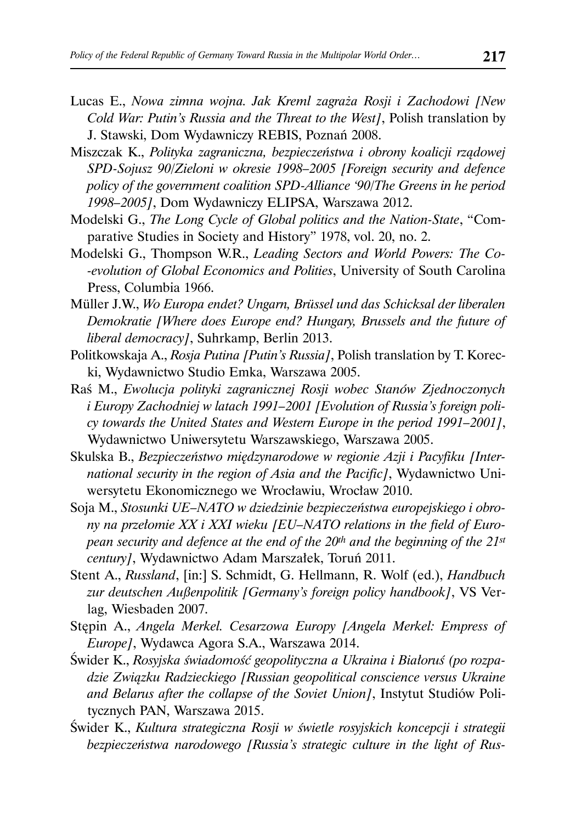- Lucas E., *Nowa zimna wojna. Jak Kreml zagraża Rosji i Zachodowi [New Cold War: Putin's Russia and the Threat to the West]*, Polish translation by J. Stawski, Dom Wydawniczy REBIS, Poznań 2008.
- Miszczak K., *Polityka zagraniczna, bezpieczeństwa i obrony koalicji rządowej SPD-Sojusz 90/Zieloni w okresie 1998–2005 [Foreign security and defence policy of the government coalition SPD-Alliance '90/The Greens in he period 1998–2005]*, Dom Wydawniczy ELIPSA, Warszawa 2012.
- Modelski G., *The Long Cycle of Global politics and the Nation-State*, "Comparative Studies in Society and History" 1978, vol. 20, no. 2.
- Modelski G., Thompson W.R., *Leading Sectors and World Powers: The Co- -evolution of Global Economics and Polities*, University of South Carolina Press, Columbia 1966.
- Müller J.W., *Wo Europa endet? Ungarn, Brüssel und das Schicksal der liberalen Demokratie [Where does Europe end? Hungary, Brussels and the future of liberal democracy]*, Suhrkamp, Berlin 2013.
- Politkowskaja A., *Rosja Putina [Putin's Russia]*, Polish translation by T. Korecki, Wydawnictwo Studio Emka, Warszawa 2005.
- Raś M., *Ewolucja polityki zagranicznej Rosji wobec Stanów Zjednoczonych i Europy Zachodniej w latach 1991–2001 [Evolution of Russia's foreign policy towards the United States and Western Europe in the period 1991–2001]*, Wydawnictwo Uniwersytetu Warszawskiego, Warszawa 2005.
- Skulska B., *Bezpieczeństwo międzynarodowe w regionie Azji i Pacyfiku [International security in the region of Asia and the Pacific]*, Wydawnictwo Uniwersytetu Ekonomicznego we Wrocławiu, Wrocław 2010.
- Soja M., *Stosunki UE–NATO w dziedzinie bezpieczeństwa europejskiego i obrony na przełomie XX i XXI wieku [EU–NATO relations in the field of European security and defence at the end of the 20th and the beginning of the 21st century]*, Wydawnictwo Adam Marszałek, Toruń 2011.
- Stent A., *Russland*, [in:] S. Schmidt, G. Hellmann, R. Wolf (ed.), *Handbuch zur deutschen Außenpolitik [Germany's foreign policy handbook]*, VS Verlag, Wiesbaden 2007.
- Stępin A., *Angela Merkel. Cesarzowa Europy [Angela Merkel: Empress of Europe]*, Wydawca Agora S.A., Warszawa 2014.
- Świder K., *Rosyjska świadomość geopolityczna a Ukraina i Białoruś (po rozpadzie Związku Radzieckiego [Russian geopolitical conscience versus Ukraine and Belarus after the collapse of the Soviet Union]*, Instytut Studiów Politycznych PAN, Warszawa 2015.
- Świder K., *Kultura strategiczna Rosji w świetle rosyjskich koncepcji i strategii bezpieczeństwa narodowego [Russia's strategic culture in the light of Rus-*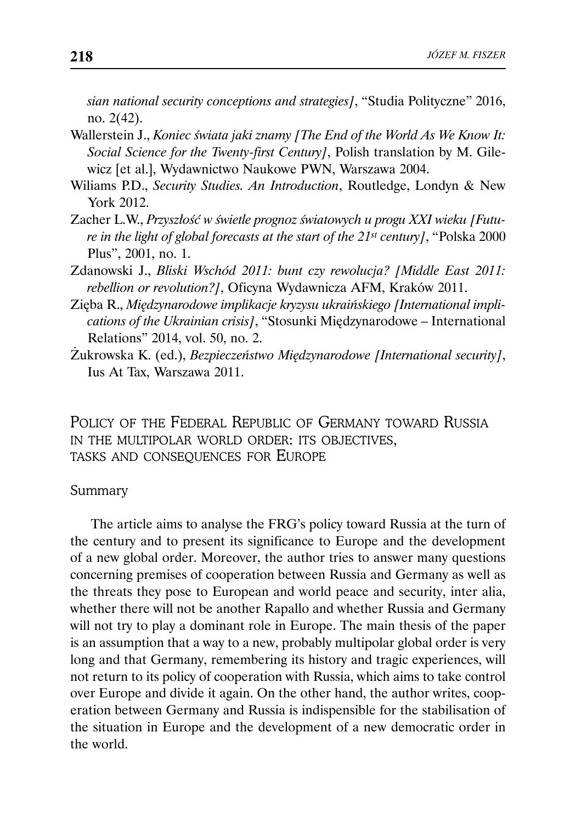*sian national security conceptions and strategies]*, "Studia Polityczne" 2016, no. 2(42).

- Wallerstein J., *Koniec świata jaki znamy [The End of the World As We Know It: Social Science for the Twenty-first Century]*, Polish translation by M. Gilewicz [et al.], Wydawnictwo Naukowe PWN, Warszawa 2004.
- Wiliams P.D., *Security Studies. An Introduction*, Routledge, Londyn & New York 2012.
- Zacher L.W., *Przyszłość w świetle prognoz światowych u progu XXI wieku [Future in the light of global forecasts at the start of the 21st century]*, "Polska 2000 Plus", 2001, no. 1.
- Zdanowski J., *Bliski Wschód 2011: bunt czy rewolucja? [Middle East 2011: rebellion or revolution?]*, Oficyna Wydawnicza AFM, Kraków 2011.
- Zięba R., *Międzynarodowe implikacje kryzysu ukraińskiego [International implications of the Ukrainian crisis]*, "Stosunki Międzynarodowe – International Relations" 2014, vol. 50, no. 2.
- Żukrowska K. (ed.), *Bezpieczeństwo Międzynarodowe [International security]*, Ius At Tax, Warszawa 2011.

POLICY OF THE FEDERAL REPUBLIC OF GERMANY TOWARD RUSSIA IN THE MULTIPOLAR WORLD ORDER: ITS OBJECTIVES, TASKS AND CONSEQUENCES FOR EUROPE

#### Summary

The article aims to analyse the FRG's policy toward Russia at the turn of the century and to present its significance to Europe and the development of a new global order. Moreover, the author tries to answer many questions concerning premises of cooperation between Russia and Germany as well as the threats they pose to European and world peace and security, inter alia, whether there will not be another Rapallo and whether Russia and Germany will not try to play a dominant role in Europe. The main thesis of the paper is an assumption that a way to a new, probably multipolar global order is very long and that Germany, remembering its history and tragic experiences, will not return to its policy of cooperation with Russia, which aims to take control over Europe and divide it again. On the other hand, the author writes, cooperation between Germany and Russia is indispensible for the stabilisation of the situation in Europe and the development of a new democratic order in the world.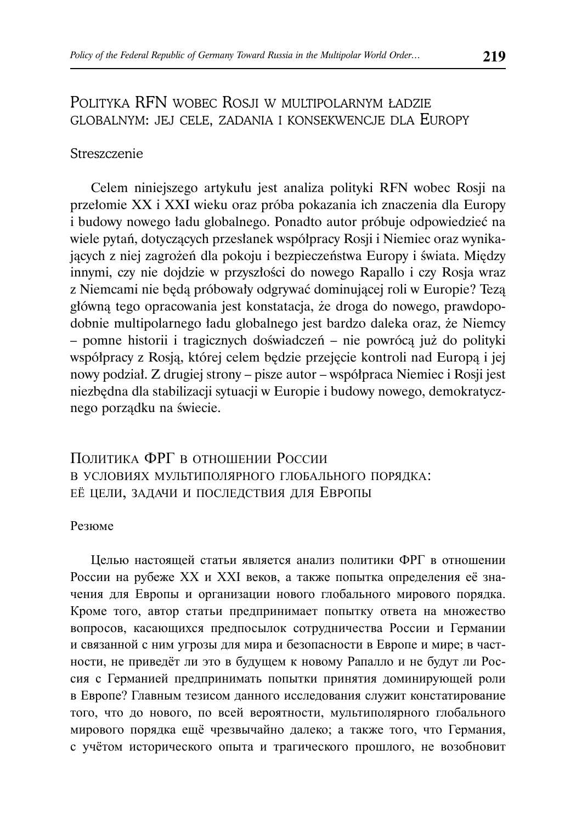## POLITYKA RFN WOBEC ROSJI W MULTIPOLARNYM ŁADZIE GLOBALNYM: JEJ CELE, ZADANIA I KONSEKWENCJE DLA EUROPY

#### **Streszczenie**

Celem niniejszego artykułu jest analiza polityki RFN wobec Rosji na przełomie XX i XXI wieku oraz próba pokazania ich znaczenia dla Europy i budowy nowego ładu globalnego. Ponadto autor próbuje odpowiedzieć na wiele pytań, dotyczących przesłanek współpracy Rosji i Niemiec oraz wynikających z niej zagrożeń dla pokoju i bezpieczeństwa Europy i świata. Między innymi, czy nie dojdzie w przyszłości do nowego Rapallo i czy Rosja wraz z Niemcami nie będą próbowały odgrywać dominującej roli w Europie? Tezą główną tego opracowania jest konstatacja, że droga do nowego, prawdopodobnie multipolarnego ładu globalnego jest bardzo daleka oraz, że Niemcy – pomne historii i tragicznych doświadczeń – nie powrócą już do polityki współpracy z Rosją, której celem będzie przejęcie kontroli nad Europą i jej nowy podział. Z drugiej strony – pisze autor – współpraca Niemiec i Rosji jest niezbędna dla stabilizacji sytuacji w Europie i budowy nowego, demokratycznego porządku na świecie.

## ПОЛИТИКА ФРГ В ОТНОШЕНИИ РОССИИ В УСЛОВИЯХ МУЛЬТИПОЛЯРНОГО ГЛОБАЛЬНОГО ПОРЯДКА: ЕЁ ЦЕЛИ, ЗАДАЧИ И ПОСЛЕДСТВИЯ ДЛЯ ЕВРОПЫ

#### Резюме

Целью настоящей статьи является анализ политики ФРГ в отношении России на рубеже XX и XXI веков, а также попытка определения её значения для Европы и организации нового глобального мирового порядка. Кроме того, автор статьи предпринимает попытку ответа на множество вопросов, касающихся предпосылок сотрудничества России и Германии и связанной с ним угрозы для мира и безопасности в Европе и мире; в частности, не приведёт ли это в будущем к новому Рапалло и не будут ли Россия с Германией предпринимать попытки принятия доминирующей роли в Европе? Главным тезисом данного исследования служит констатирование того, что до нового, по всей вероятности, мультиполярного глобального мирового порядка ещё чрезвычайно далеко; а также того, что Германия, с учётом исторического опыта и трагического прошлого, не возобновит